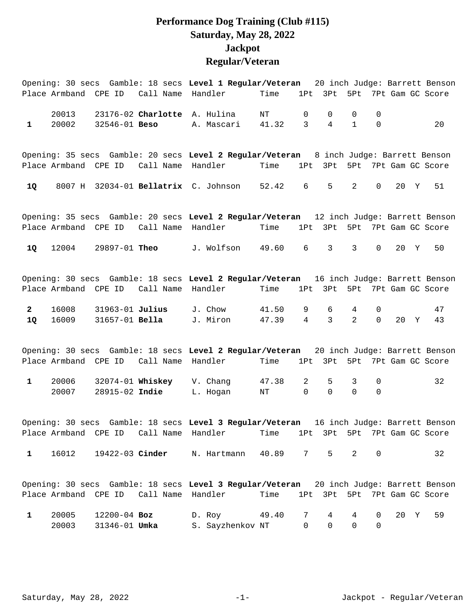## **Performance Dog Training (Club #115) Saturday, May 28, 2022 Jackpot Regular/Veteran**

|              |                      |                 |                                        | Opening: 30 secs Gamble: 18 secs Level 1 Regular/Veteran                                                                                                           |                                   |                 |               |                 |                |      |   | 20 inch Judge: Barrett Benson |
|--------------|----------------------|-----------------|----------------------------------------|--------------------------------------------------------------------------------------------------------------------------------------------------------------------|-----------------------------------|-----------------|---------------|-----------------|----------------|------|---|-------------------------------|
|              | Place Armband CPE ID |                 | Call Name Handler                      |                                                                                                                                                                    | Time                              | 1Pt             | 3Pt           | 5Pt             |                |      |   | 7Pt Gam GC Score              |
|              | 20013                |                 |                                        | 23176-02 Charlotte A. Hulina                                                                                                                                       | ΝT                                | 0               | 0             | $\Omega$        | 0              |      |   |                               |
| $\mathbf{1}$ | 20002                | 32546-01 Beso   |                                        | A. Mascari                                                                                                                                                         | 41.32                             | 3               | 4             | $\mathbf{1}$    | 0              |      |   | 20                            |
|              |                      |                 |                                        | Opening: 35 secs Gamble: 20 secs Level 2 Regular/Veteran 8 inch Judge: Barrett Benson                                                                              |                                   |                 |               |                 |                |      |   |                               |
|              | Place Armband CPE ID |                 | Call Name                              | Handler                                                                                                                                                            | Time                              | 1P <sub>t</sub> | 3Pt           | 5Pt             |                |      |   | 7Pt Gam GC Score              |
| 1Q           | 8007 H               |                 |                                        | 32034-01 Bellatrix C. Johnson                                                                                                                                      | 52.42                             | 6               | 5             | 2               | $\mathbf 0$    | 20   | Y | 51                            |
|              |                      |                 |                                        | Opening: 35 secs Gamble: 20 secs Level 2 Regular/Veteran 12 inch Judge: Barrett Benson                                                                             |                                   |                 |               |                 |                |      |   |                               |
|              |                      |                 | Place Armband CPE ID Call Name         | Handler                                                                                                                                                            | Time                              |                 |               |                 |                |      |   | 1Pt 3Pt 5Pt 7Pt Gam GC Score  |
| <b>1Q</b>    | 12004                | 29897-01 Theo   |                                        | J. Wolfson 49.60                                                                                                                                                   |                                   | 6               | 3             | 3               | $\mathbf 0$    | 20 Y |   | 50                            |
|              |                      |                 | Place Armband CPE ID Call Name Handler | Opening: 30 secs Gamble: 18 secs Level 2 Regular/Veteran 16 inch Judge: Barrett Benson                                                                             | Time                              | 1Pt             | 3Pt           |                 |                |      |   | 5Pt 7Pt Gam GC Score          |
| $\mathbf{2}$ | 16008                | 31963-01 Julius |                                        | J. Chow                                                                                                                                                            | 41.50                             | 9               | 6             | 4               | 0              |      |   | 47                            |
| 1Q           | 16009                | 31657-01 Bella  |                                        | J. Miron                                                                                                                                                           | 47.39                             | $\overline{4}$  | $\mathbf{3}$  | $\overline{2}$  | $\mathbf 0$    | 20   | Y | 43                            |
|              |                      |                 |                                        | Opening: 30 secs Gamble: 18 secs Level 2 Regular/Veteran                                                                                                           |                                   |                 |               |                 |                |      |   | 20 inch Judge: Barrett Benson |
|              |                      |                 | Place Armband CPE ID Call Name Handler |                                                                                                                                                                    | Time                              | 1Pt             |               |                 |                |      |   | 3Pt 5Pt 7Pt Gam GC Score      |
| $\mathbf{1}$ | 20006<br>20007       | 28915-02 Indie  | 32074-01 Whiskey                       | V. Chang<br>L. Hogan                                                                                                                                               | 47.38<br>ΝT                       | 2<br>$\Omega$   | 5<br>$\Omega$ | 3<br>$\Omega$   | 0<br>$\Omega$  |      |   | 32                            |
|              |                      |                 |                                        |                                                                                                                                                                    |                                   |                 |               |                 |                |      |   |                               |
|              |                      |                 |                                        | Opening: 30 secs Gamble: 18 secs Level 3 Regular/Veteran 16 inch Judge: Barrett Benson<br>Place Armband CPE ID Call Name Handler Time 1Pt 3Pt 5Pt 7Pt Gam GC Score |                                   |                 |               |                 |                |      |   |                               |
| $\mathbf{1}$ |                      |                 |                                        | 16012 19422-03 Cinder N. Hartmann 40.89 7 5                                                                                                                        |                                   |                 |               | $2^{\circ}$     | $\mathsf{O}$   |      |   | 32                            |
|              |                      |                 |                                        | Opening: 30 secs Gamble: 18 secs Level 3 Regular/Veteran 20 inch Judge: Barrett Benson                                                                             |                                   |                 |               |                 |                |      |   |                               |
|              |                      |                 |                                        | Place Armband CPE ID Call Name Handler                                                                                                                             | Time 1Pt 3Pt 5Pt 7Pt Gam GC Score |                 |               |                 |                |      |   |                               |
| $\mathbf{1}$ | 20005                |                 |                                        | 12200-04 Boz D. Roy 49.40                                                                                                                                          |                                   | 7               | $4\degree$    | $4\overline{ }$ | $\overline{0}$ | 20 Y |   | 59                            |
|              | 20003                |                 |                                        | 31346-01 Umka S. Sayzhenkov NT                                                                                                                                     |                                   | 0               | 0             | $\mathsf{O}$    | $\mathbf 0$    |      |   |                               |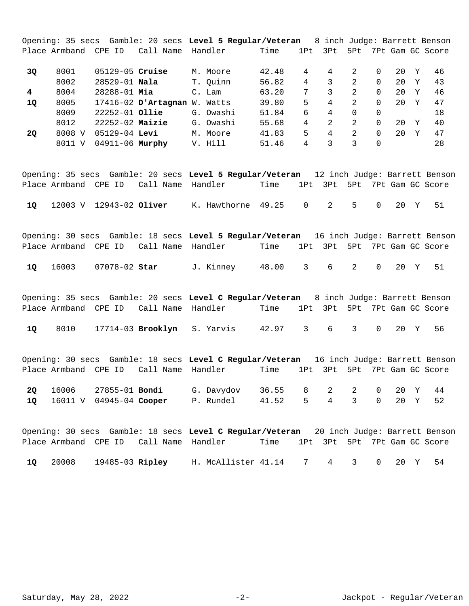Opening: 35 secs Gamble: 20 secs **Level 5 Regular/Veteran** 8 inch Judge: Barrett Benson Place Armband CPE ID Call Name Handler Time 1Pt 3Pt 5Pt 7Pt Gam GC Score 8001 05129-05 M. Moore 42.48 4 4 2 0 20 Y 46 **3Q Cruise**  8002 28529-01 **Nala** T. Quinn 56.82 4 3 2 0 20 Y 43 8004 28288-01 C. Lam 63.20 7 3 2 0 20 Y 46 **4 Mia**  8005 17416-02 W. Watts 39.80 5 4 2 0 20 Y 47 **1Q D'Artagnan** 8009 22252-01 G. Owashi 51.84 6 4 0 0 18 **Ollie**  8012 22252-02 G. Owashi 55.68 4 2 2 0 20 Y 40 **Maizie**  8008 V 05129-04 M. Moore 41.83 5 4 2 0 20 Y 47 **2Q Levi**  8011 V 04911-06 Murphy V. Hill 51.46 4 3 3 0 28

Opening: 35 secs Gamble: 20 secs **Level 5 Regular/Veteran** 12 inch Judge: Barrett Benson Place Armband CPE ID Call Name Handler Time 1Pt 3Pt 5Pt 7Pt Gam GC Score 12003 V 12943-02 K. Hawthorne 49.25 0 2 5 0 20 Y 51 **1Q Oliver** 

Opening: 30 secs Gamble: 18 secs **Level 5 Regular/Veteran** 16 inch Judge: Barrett Benson Place Armband CPE ID Call Name Handler Time 1Pt 3Pt 5Pt 7Pt Gam GC Score

16003 07078-02 J. Kinney 48.00 3 6 2 0 20 Y 51 **1Q Star** 

Opening: 35 secs Gamble: 20 secs **Level C Regular/Veteran** 8 inch Judge: Barrett Benson Place Armband CPE ID Call Name Handler Time 1Pt 3Pt 5Pt 7Pt Gam GC Score 10 8010 17714-03 **Brooklyn** S. Yarvis 42.97 3 6 3 0 20 Y 56

Opening: 30 secs Gamble: 18 secs **Level C Regular/Veteran** 16 inch Judge: Barrett Benson Place Armband CPE ID Call Name Handler Time 1Pt 3Pt 5Pt 7Pt Gam GC Score 16006 27855-01 G. Davydov 36.55 8 2 2 0 20 Y 44 **2Q Bondi**  16011 V 04945-04 P. Rundel 41.52 5 4 3 0 20 Y 52 **1Q Cooper** 

Opening: 30 secs Gamble: 18 secs **Level C Regular/Veteran** 20 inch Judge: Barrett Benson Place Armband CPE ID Call Name Handler Time 1Pt 3Pt 5Pt 7Pt Gam GC Score 20008 19485-03 H. McAllister 41.14 7 4 3 0 20 Y 54 **1Q Ripley** 

Saturday, May 28, 2022 -2- 2- Jackpot - Regular/Veteran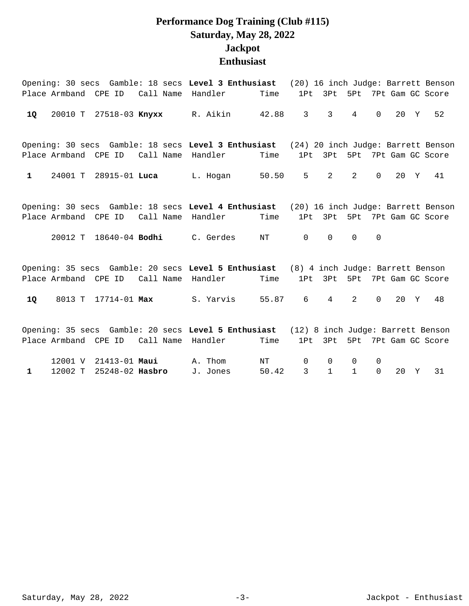#### **Performance Dog Training (Club #115) Saturday, May 28, 2022 Jackpot Enthusiast**

|              |                      |                        |                   | Opening: 30 secs Gamble: 18 secs Level 3 Enthusiast (20) 16 inch Judge: Barrett Benson                      |           |                |                 |                 |             |      |                          |
|--------------|----------------------|------------------------|-------------------|-------------------------------------------------------------------------------------------------------------|-----------|----------------|-----------------|-----------------|-------------|------|--------------------------|
|              | Place Armband CPE ID |                        |                   | Call Name Handler                                                                                           | Time      | 1Pt            | 3Pt             |                 |             |      | 5Pt 7Pt Gam GC Score     |
| 10           |                      | 20010 T 27518-03 Knyxx |                   | R. Aikin 42.88                                                                                              |           | $3^{\circ}$    | 3 <sup>7</sup>  | $4\overline{ }$ | $\Omega$    | 20 Y | 52                       |
|              |                      | Place Armband CPE ID   |                   | Opening: 30 secs Gamble: 18 secs Level 3 Enthusiast (24) 20 inch Judge: Barrett Benson<br>Call Name Handler | Time      | 1Pt            | 3Pt             |                 |             |      | 5Pt 7Pt Gam GC Score     |
| $\mathbf{1}$ |                      |                        |                   | 24001 T 28915-01 Luca L. Hogan 50.50                                                                        |           | $5^{\circ}$    | $2 \quad$       | 2               | $\Omega$    | 20 Y | 41                       |
|              |                      | Place Armband CPE ID   |                   | Opening: 30 secs Gamble: 18 secs Level 4 Enthusiast (20) 16 inch Judge: Barrett Benson<br>Call Name Handler | Time      | 1Pt            |                 |                 |             |      | 3Pt 5Pt 7Pt Gam GC Score |
|              |                      |                        |                   | 20012 T 18640-04 <b>Bodhi</b> C. Gerdes                                                                     | NT        | $\overline{0}$ | $\Omega$        | $\Omega$        | $\mathbf 0$ |      |                          |
|              | Place Armband CPE ID |                        | Call Name Handler | Opening: 35 secs Gamble: 20 secs Level 5 Enthusiast (8) 4 inch Judge: Barrett Benson                        | Time      | 1Pt            | 3Pt             | 5Pt             |             |      | 7Pt Gam GC Score         |
| 1Q           |                      |                        |                   | 8013 T 17714-01 Max S. Yarvis                                                                               | 55.87     | 6              | $4\overline{ }$ | 2               | $\Omega$    | 20 Y | 48                       |
|              | Place Armband CPE ID |                        | Call Name Handler | Opening: 35 secs Gamble: 20 secs Level 5 Enthusiast (12) 8 inch Judge: Barrett Benson                       | Time      | 1Pt            | 3Pt             |                 |             |      | 5Pt 7Pt Gam GC Score     |
|              | 12001 V              | 21413-01 Maui          |                   | A. Thom                                                                                                     | $\rm{NT}$ | $\mathbf 0$    | $\Omega$        | $\Omega$        | 0           |      |                          |

1 12002 T 25248-02 Hasbro J. Jones 50.42 3 1 1 0 20 Y 31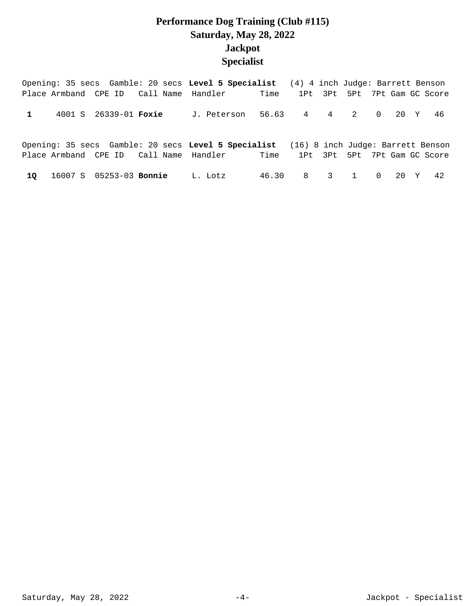## **Performance Dog Training (Club #115) Saturday, May 28, 2022 Jackpot Specialist**

|    |                                |                                        | Opening: 35 secs Gamble: 20 secs Level 5 Specialist (4) 4 inch Judge: Barrett Benson                                                 |       |             |                 |        |                              |
|----|--------------------------------|----------------------------------------|--------------------------------------------------------------------------------------------------------------------------------------|-------|-------------|-----------------|--------|------------------------------|
|    |                                | Place Armband CPE ID Call Name Handler |                                                                                                                                      | Time  |             |                 |        | 1Pt 3Pt 5Pt 7Pt Gam GC Score |
|    | 4001 S 26339-01 Foxie          |                                        | J. Peterson                                                                                                                          |       | 56.63 4 4 2 |                 | 0 20 Y | - 46                         |
|    |                                |                                        | Opening: 35 secs Gamble: 20 secs Level 5 Specialist (16) 8 inch Judge: Barrett Benson<br>Place Armband CPE ID Call Name Handler Time |       |             |                 |        | 1Pt 3Pt 5Pt 7Pt Gam GC Score |
| 10 | 16007 S 05253-03 <b>Bonnie</b> |                                        | L. Lotz                                                                                                                              | 46.30 |             | 8 3 1 0 20 Y 42 |        |                              |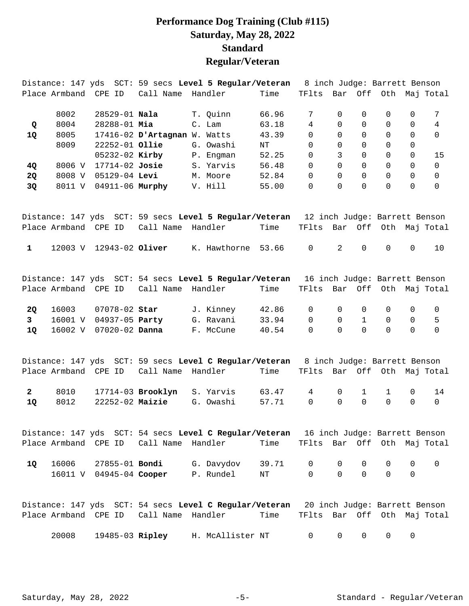#### **Performance Dog Training (Club #115) Saturday, May 28, 2022 Standard Regular/Veteran**

|              |                      |                         |                              | Distance: 147 yds SCT: 59 secs Level 5 Regular/Veteran                                          |       | 8 inch Judge: Barrett Benson |          |          |          |             |                       |
|--------------|----------------------|-------------------------|------------------------------|-------------------------------------------------------------------------------------------------|-------|------------------------------|----------|----------|----------|-------------|-----------------------|
|              | Place Armband        | CPE ID                  | Call Name                    | Handler                                                                                         | Time  | TFlts                        |          |          |          |             | Bar Off Oth Maj Total |
|              | 8002                 | 28529-01 Nala           |                              | T. Quinn                                                                                        | 66.96 | 7                            | 0        | 0        | 0        | 0           | 7                     |
| Q            | 8004                 | $28288 - 01$ Mia        |                              | C. Lam                                                                                          | 63.18 | $\overline{4}$               | $\Omega$ | $\Omega$ | $\Omega$ | $\Omega$    | $\overline{4}$        |
| 1Q           | 8005                 |                         | 17416-02 D'Artagnan W. Watts |                                                                                                 | 43.39 | 0                            | $\Omega$ | $\Omega$ | 0        | 0           | $\Omega$              |
|              | 8009                 | $22252 - 01$ Ollie      |                              | G. Owashi                                                                                       | NT    | 0                            | 0        | 0        | 0        | 0           |                       |
|              |                      | 05232-02 Kirby          |                              | P. Engman                                                                                       | 52.25 | 0                            | 3        | $\Omega$ | 0        | $\mathbf 0$ | 15                    |
| 4Q           | 8006 V               | $17714-02$ Josie        |                              | S. Yarvis                                                                                       | 56.48 | $\Omega$                     | $\Omega$ | $\Omega$ | $\Omega$ | $\Omega$    | $\Omega$              |
| 2Q           | 8008 V               | 05129-04 Levi           |                              | M. Moore                                                                                        | 52.84 | 0                            | $\Omega$ | $\Omega$ | 0        | $\mathbf 0$ | $\mathbf 0$           |
| 3Q           | 8011 V               |                         | 04911-06 Murphy              | V. Hill                                                                                         | 55.00 | 0                            | $\Omega$ | $\Omega$ | $\Omega$ | $\Omega$    | $\Omega$              |
|              |                      |                         |                              | Distance: 147 yds SCT: 59 secs Level 5 Regular/Veteran 12 inch Judge: Barrett Benson            |       |                              |          |          |          |             |                       |
|              | Place Armband CPE ID |                         | Call Name                    | Handler                                                                                         | Time  | TFlts                        | Bar      | Off      |          |             | Oth Maj Total         |
| $\mathbf{1}$ |                      | 12003 V 12943-02 Oliver |                              | K. Hawthorne                                                                                    | 53.66 | $\mathbf 0$                  | 2        | $\Omega$ | 0        | $\mathbf 0$ | 10                    |
|              | Place Armband CPE ID |                         | Call Name                    | Distance: 147 yds SCT: 54 secs Level 5 Regular/Veteran 16 inch Judge: Barrett Benson<br>Handler | Time  | TFlts                        |          |          |          |             | Bar Off Oth Maj Total |
|              |                      |                         |                              |                                                                                                 |       |                              |          |          |          |             |                       |

|  | <b>20</b> 16003 07078-02 Star | J. Kinney | 42.86 0 0 0 0 0 0 |  |  |  |
|--|-------------------------------|-----------|-------------------|--|--|--|
|  | 3 16001 V 04937-05 Party      |           |                   |  |  |  |
|  | 10 16002 V 07020-02 Danna     | F. McCune | 40.54 0 0 0 0 0 0 |  |  |  |

|  |  | Distance: 147 yds SCT: 59 secs Level C Regular/Veteran 8 inch Judge: Barrett Benson |                   |  |  |  |
|--|--|-------------------------------------------------------------------------------------|-------------------|--|--|--|
|  |  | Place Armband CPE ID Call Name Handler Time TFlts Bar Off Oth Maj Total             |                   |  |  |  |
|  |  | 2 8010 17714-03 Brooklyn S. Yarvis 63.47 4 0 1 1 0 14                               |                   |  |  |  |
|  |  | 10 8012 22252-02 Maizie G. Owashi                                                   | 57.71 0 0 0 0 0 0 |  |  |  |

Distance: 147 yds SCT: 54 secs **Level C Regular/Veteran** 16 inch Judge: Barrett Benson Place Armband CPE ID Call Name Handler Time TFlts Bar Off Oth Maj Total 16006 27855-01 G. Davydov 39.71 0 0 0 0 0 0 **1Q Bondi**  16011 V 04945-04 P. Rundel NT 0 0 0 0 0 **Cooper** 

|       |                 |                                        | Distance: 147 yds SCT: 54 secs Level C Reqular/Veteran |      |        |               |        | 20 inch Judge: Barrett Benson |  |
|-------|-----------------|----------------------------------------|--------------------------------------------------------|------|--------|---------------|--------|-------------------------------|--|
|       |                 | Place Armband CPE ID Call Name Handler |                                                        | Time |        |               |        | TFlts Bar Off Oth Maj Total   |  |
| 20008 | 19485-03 Ripley |                                        | H. McAllister NT                                       |      | $\cap$ | $\cap$ $\cap$ | $\cap$ |                               |  |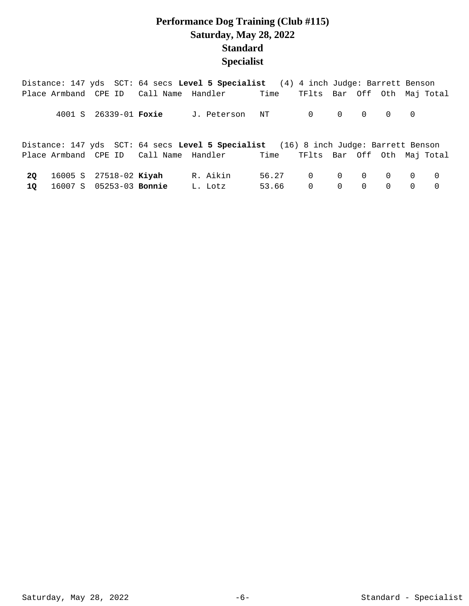## **Performance Dog Training (Club #115) Saturday, May 28, 2022 Standard Specialist**

|    |                               |                       | Distance: 147 yds SCT: 64 secs Level 5 Specialist (4) 4 inch Judge: Barrett Benson  |                   |                             |                                                 |  |  |
|----|-------------------------------|-----------------------|-------------------------------------------------------------------------------------|-------------------|-----------------------------|-------------------------------------------------|--|--|
|    |                               |                       | Place Armband CPE ID Call Name Handler Time                                         |                   | TFlts Bar Off Oth Maj Total |                                                 |  |  |
|    |                               | 4001 S 26339-01 Foxie | J. Peterson NT 0 0 0 0 0                                                            |                   |                             |                                                 |  |  |
|    |                               |                       | Distance: 147 yds SCT: 64 secs Level 5 Specialist (16) 8 inch Judge: Barrett Benson |                   |                             |                                                 |  |  |
|    |                               |                       | Place Armband CPE ID Call Name Handler Time TFlts Bar Off Oth Maj Total             |                   |                             |                                                 |  |  |
| 20 | 16005 S 27518-02 <b>Kiyah</b> |                       | R. Aikin                                                                            | 56.27 0 0 0 0 0 0 |                             |                                                 |  |  |
| 10 | 16007 S 05253-03 Bonnie       |                       | L. Lotz                                                                             | 53.66 0           |                             | $\begin{matrix} 0 & 0 & 0 & 0 & 0 \end{matrix}$ |  |  |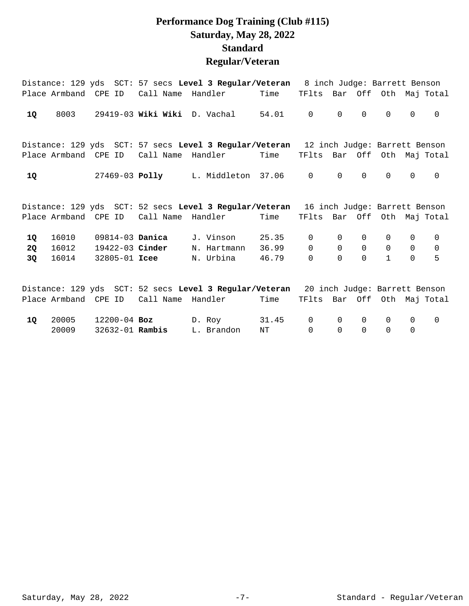## **Performance Dog Training (Club #115) Saturday, May 28, 2022 Standard Regular/Veteran**

|                       |                         |                                                            |                | Distance: 129 yds SCT: 57 secs Level 3 Regular/Veteran 8 inch Judge: Barrett Benson                       |                         |                                 |                                        |                              |                                             |                                        |                                     |
|-----------------------|-------------------------|------------------------------------------------------------|----------------|-----------------------------------------------------------------------------------------------------------|-------------------------|---------------------------------|----------------------------------------|------------------------------|---------------------------------------------|----------------------------------------|-------------------------------------|
|                       | Place Armband CPE ID    |                                                            | Call Name      | Handler                                                                                                   | Time                    | TFlts                           |                                        |                              |                                             |                                        | Bar Off Oth Maj Total               |
| 1Q                    | 8003                    |                                                            |                | 29419-03 Wiki Wiki D. Vachal                                                                              | 54.01                   | $\mathbf 0$                     | $\Omega$                               | $\Omega$                     | $\Omega$                                    | $\mathbf 0$                            | $\mathbf 0$                         |
|                       | Place Armband CPE ID    |                                                            | Call Name      | Distance: 129 yds SCT: 57 secs Level 3 Regular/Veteran 12 inch Judge: Barrett Benson<br>Handler           | Time                    | TFlts                           | Bar                                    |                              |                                             |                                        | Off Oth Maj Total                   |
| 1Q                    |                         |                                                            | 27469-03 Polly | L. Middleton 37.06                                                                                        |                         | $\mathbf 0$                     | $\mathbf 0$                            | $\Omega$                     | $\Omega$                                    | 0                                      | $\mathbf 0$                         |
|                       | Place Armband CPE ID    |                                                            | Call Name      | Distance: 129 yds SCT: 52 secs Level 3 Regular/Veteran 16 inch Judge: Barrett Benson<br>Handler           | Time                    | TFlts Bar Off Oth Maj Total     |                                        |                              |                                             |                                        |                                     |
| 1Q<br><b>2Q</b><br>3Q | 16010<br>16012<br>16014 | 09814-03 <b>Danica</b><br>19422-03 Cinder<br>32805-01 Icee |                | J. Vinson<br>N. Hartmann<br>N. Urbina                                                                     | 25.35<br>36.99<br>46.79 | $\overline{0}$<br>0<br>$\Omega$ | $\mathbf 0$<br>$\mathbf 0$<br>$\Omega$ | 0<br>$\mathbf 0$<br>$\Omega$ | $\mathbf{0}$<br>$\mathbf 0$<br>$\mathbf{1}$ | $\mathbf 0$<br>$\mathbf 0$<br>$\Omega$ | $\overline{0}$<br>$\mathsf{O}$<br>5 |
|                       |                         | Place Armband CPE ID                                       |                | Distance: 129 yds SCT: 52 secs Level 3 Regular/Veteran 20 inch Judge: Barrett Benson<br>Call Name Handler | Time                    | TFlts Bar Off Oth Maj Total     |                                        |                              |                                             |                                        |                                     |
| <b>10</b>             | 20005<br>20009          | $12200 - 04$ Boz<br>32632-01 Rambis                        |                | D. Roy<br>L. Brandon                                                                                      | 31.45<br>ΝT             | $\mathbf 0$<br>$\overline{0}$   | $\Omega$<br>$\Omega$                   | $\Omega$<br>$\mathsf{O}$     | $\Omega$<br>$\Omega$                        | 0<br>0                                 | $\mathsf{O}$                        |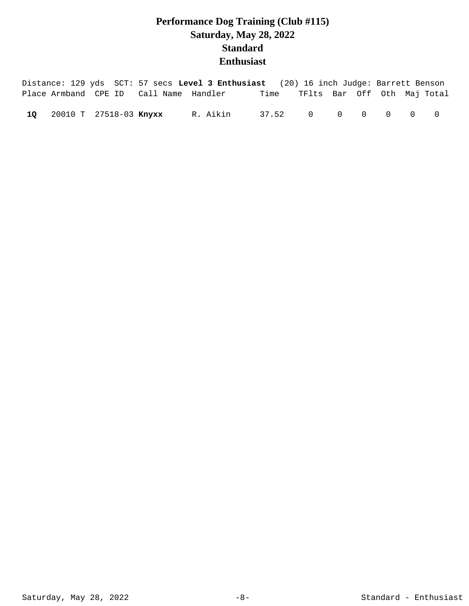# **Performance Dog Training (Club #115) Saturday, May 28, 2022 Standard Enthusiast**

|  |                           |                                        | Distance: 129 yds SCT: 57 secs Level 3 Enthusiast (20) 16 inch Judge: Barrett Benson |                                  |  |  |  |
|--|---------------------------|----------------------------------------|--------------------------------------------------------------------------------------|----------------------------------|--|--|--|
|  |                           | Place Armband CPE ID Call Name Handler |                                                                                      | Time TFlts Bar Off Oth Maj-Total |  |  |  |
|  | 10 20010 T 27518-03 Knyxx |                                        | R. Aikin                                                                             | 37.52 0 0 0 0 0                  |  |  |  |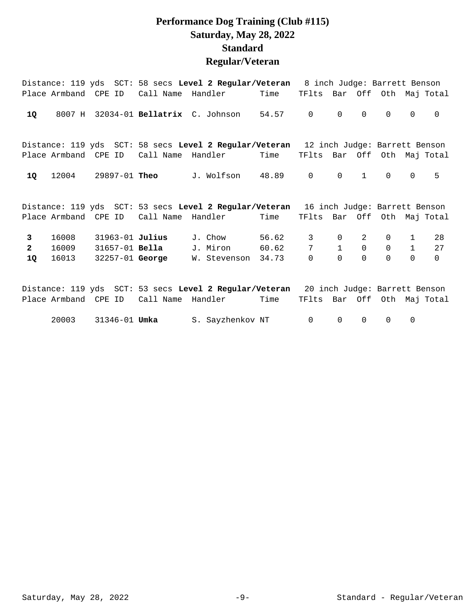## **Performance Dog Training (Club #115) Saturday, May 28, 2022 Standard Regular/Veteran**

|                |                      |                       |                        | Distance: 119 yds SCT: 58 secs Level 2 Regular/Veteran 8 inch Judge: Barrett Benson  |       |                             |              |              |             |              |          |
|----------------|----------------------|-----------------------|------------------------|--------------------------------------------------------------------------------------|-------|-----------------------------|--------------|--------------|-------------|--------------|----------|
|                |                      | Place Armband CPE ID  |                        | Call Name Handler Time                                                               |       | TFlts Bar Off Oth Maj Total |              |              |             |              |          |
| <b>1Q</b>      |                      |                       |                        | $8007$ H $32034-01$ Bellatrix $C.$ Johnson                                           | 54.57 | $\overline{0}$              | $\Omega$     | $\Omega$     | $\Omega$    | $\mathbf 0$  | $\Omega$ |
|                |                      |                       |                        | Distance: 119 yds SCT: 58 secs Level 2 Regular/Veteran 12 inch Judge: Barrett Benson |       |                             |              |              |             |              |          |
|                | Place Armband CPE ID |                       | Call Name              | Handler                                                                              | Time  | TFlts Bar Off Oth Maj Total |              |              |             |              |          |
| 1Q             | 12004                | 29897-01 <b>Theo</b>  |                        | J. Wolfson                                                                           | 48.89 | $\mathbf 0$                 | $\mathbf 0$  | $\mathbf{1}$ | $\mathbf 0$ | $\mathbf 0$  | 5        |
|                |                      |                       |                        | Distance: 119 yds SCT: 53 secs Level 2 Regular/Veteran 16 inch Judge: Barrett Benson |       |                             |              |              |             |              |          |
|                |                      |                       |                        |                                                                                      |       |                             |              |              |             |              |          |
|                | Place Armband CPE ID |                       | Call Name              | Handler                                                                              | Time  | TFlts Bar Off Oth Maj Total |              |              |             |              |          |
| $\mathbf{3}$   | 16008                | 31963-01 Julius       |                        | J. Chow                                                                              | 56.62 | 3                           | $\mathbf 0$  | 2            | 0           | $\mathbf{1}$ | 28       |
| $\overline{2}$ | 16009                | 31657-01 <b>Bella</b> |                        | J. Miron                                                                             | 60.62 | 7                           | $\mathbf{1}$ | $\mathbf 0$  | $\mathbf 0$ | $\mathbf{1}$ | 27       |
| 1Q             | 16013                |                       | 32257-01 <b>George</b> | W. Stevenson 34.73                                                                   |       | $\Omega$                    | $\Omega$     | $\Omega$     | $\Omega$    | $\Omega$     | $\Omega$ |
|                |                      |                       |                        |                                                                                      |       |                             |              |              |             |              |          |
|                | Place Armband CPE ID |                       | Call Name Handler      | Distance: 119 yds SCT: 53 secs Level 2 Regular/Veteran 20 inch Judge: Barrett Benson | Time  | TFlts Bar Off Oth Maj Total |              |              |             |              |          |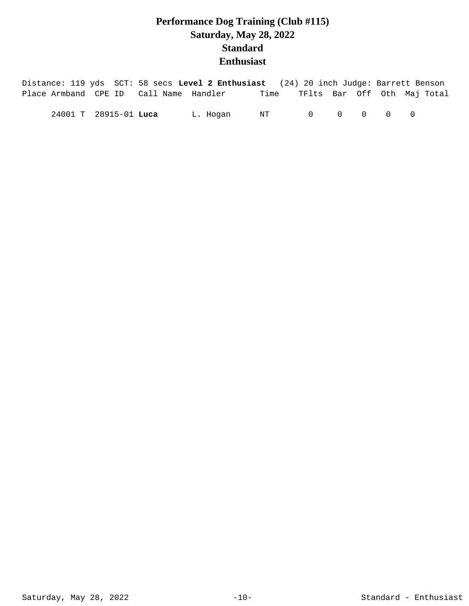# **Performance Dog Training (Club #115) Saturday, May 28, 2022 Standard Enthusiast**

| Distance: 119 yds SCT: 58 secs Level 2 Enthusiast (24) 20 inch Judge: Barrett Benson |                       |          |      |  |                                             |                             |
|--------------------------------------------------------------------------------------|-----------------------|----------|------|--|---------------------------------------------|-----------------------------|
| Place Armband CPE ID Call Name Handler                                               |                       |          | Time |  |                                             | TFlts Bar Off Oth Maj-Total |
|                                                                                      | 24001 T 28915-01 Luca | L. Hogan | NT   |  | $\begin{matrix} 0 & 0 & 0 & 0 \end{matrix}$ |                             |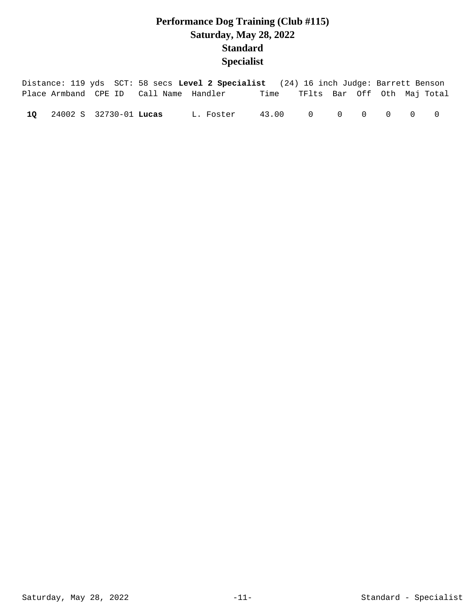## **Performance Dog Training (Club #115) Saturday, May 28, 2022 Standard Specialist**

|  |                           |                                        | Distance: 119 yds SCT: 58 secs Level 2 Specialist (24) 16 inch Judge: Barrett Benson |                 |                             |  |  |                |
|--|---------------------------|----------------------------------------|--------------------------------------------------------------------------------------|-----------------|-----------------------------|--|--|----------------|
|  |                           | Place Armband CPE ID Call Name Handler |                                                                                      | Time            | TFlts Bar Off Oth Maj-Total |  |  |                |
|  | 10 24002 S 32730-01 Lucas |                                        | L. Foster                                                                            | 43.00 0 0 0 0 0 |                             |  |  | $\overline{0}$ |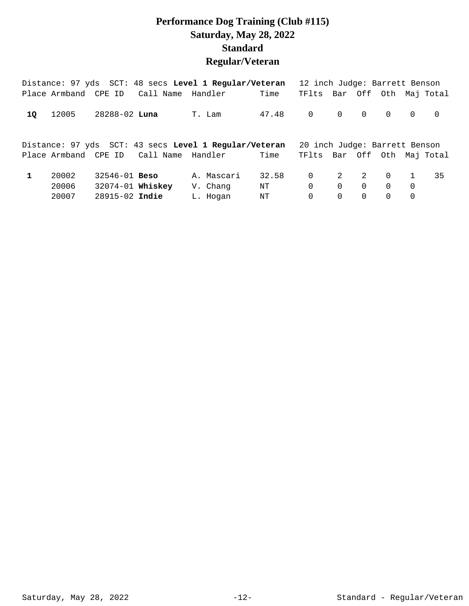## **Performance Dog Training (Club #115) Saturday, May 28, 2022 Standard Regular/Veteran**

|    | Distance: 97 yds SCT: 48 secs Level 1 Regular/Veteran                                    |                      |           |  |            |       | 12 inch Judge: Barrett Benson |          |             |                |                |                       |
|----|------------------------------------------------------------------------------------------|----------------------|-----------|--|------------|-------|-------------------------------|----------|-------------|----------------|----------------|-----------------------|
|    | Place Armband CPE ID                                                                     |                      | Call Name |  | Handler    | Time  | TFlts Bar Off Oth Maj Total   |          |             |                |                |                       |
| 10 | 12005                                                                                    | 28288-02 <b>Luna</b> |           |  | T. Lam     | 47.48 | $\overline{0}$                |          | $0\qquad 0$ | $\overline{0}$ | $\Omega$       | $\overline{0}$        |
|    | Distance: 97 yds SCT: 43 secs Level 1 Regular/Veteran<br>Place Armband CPE ID<br>Handler |                      |           |  |            |       |                               |          |             |                |                |                       |
|    |                                                                                          |                      |           |  |            |       | 20 inch Judge: Barrett Benson |          |             |                |                |                       |
|    |                                                                                          |                      | Call Name |  |            | Time  | TFlts                         |          |             |                |                | Bar Off Oth Maj Total |
|    | 20002                                                                                    | $32546 - 01$ Beso    |           |  | A. Mascari | 32.58 | $\overline{0}$                | 2        | 2           | $\overline{0}$ | $\mathbf{1}$   | 35                    |
|    | 20006                                                                                    | 32074-01 Whiskey     |           |  | V. Chang   | NT    | $\Omega$                      | $\Omega$ | $\Omega$    | $\Omega$       | $\overline{0}$ |                       |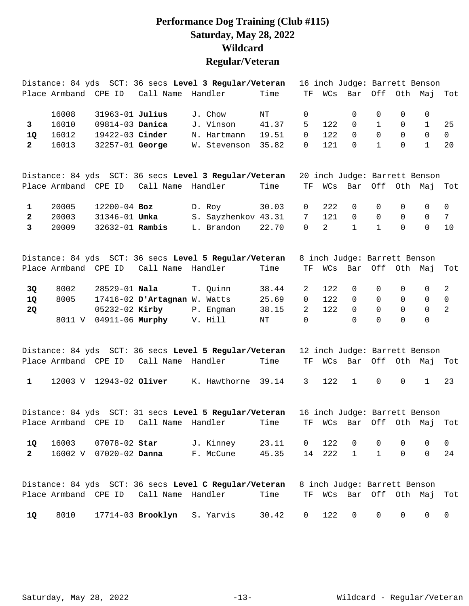## **Performance Dog Training (Club #115) Saturday, May 28, 2022 Wildcard Regular/Veteran**

|              |                      |                        |                                        | Distance: 84 yds SCT: 36 secs Level 3 Regular/Veteran                  |           |                     |                |                              |                     |              | 16 inch Judge: Barrett Benson |                 |
|--------------|----------------------|------------------------|----------------------------------------|------------------------------------------------------------------------|-----------|---------------------|----------------|------------------------------|---------------------|--------------|-------------------------------|-----------------|
|              | Place Armband CPE ID |                        | Call Name Handler                      |                                                                        | Time      | TF                  | WCs            | Bar                          |                     |              | Off Oth Maj                   | Tot             |
|              | 16008                | 31963-01 Julius        |                                        | J. Chow                                                                | NT        | 0                   |                | 0                            | 0                   | 0            | 0                             |                 |
| $\mathbf{3}$ | 16010                | 09814-03 Danica        |                                        | J. Vinson                                                              | 41.37     | 5.                  | 122            | $\Omega$                     | $\mathbf{1}$        | $\mathbf 0$  | $\mathbf{1}$                  | 25              |
| 1Q           | 16012                | 19422-03 Cinder        |                                        | N. Hartmann                                                            | 19.51     | 0                   | 122            | $\Omega$                     | $\mathbf 0$         | $\mathsf{O}$ | $\Omega$                      | $\overline{0}$  |
| $\mathbf{2}$ | 16013                | 32257-01 George        |                                        | W. Stevenson                                                           | 35.82     | 0                   | 121            | $\Omega$                     | $\mathbf{1}$        | $\Omega$     | $\mathbf{1}$                  | 20              |
|              |                      |                        |                                        | Distance: 84 yds SCT: 36 secs Level 3 Regular/Veteran                  |           |                     |                |                              |                     |              | 20 inch Judge: Barrett Benson |                 |
|              | Place Armband CPE ID |                        | Call Name Handler                      |                                                                        | Time      | $\operatorname{TF}$ | WCs            | Bar                          |                     |              | Off Oth Maj                   | Tot             |
| 1            | 20005                | $12200 - 04$ Boz       |                                        | D. Roy                                                                 | 30.03     | 0                   | 222            | $\mathbf 0$                  | 0                   | 0            | 0                             | $\overline{0}$  |
| $\mathbf{2}$ | 20003                | 31346-01 <b>Umka</b>   |                                        | S. Sayzhenkov 43.31                                                    |           | 7                   | 121            | $\Omega$                     | $\mathbf 0$         | $\Omega$     | $\mathbf 0$                   | $7\overline{ }$ |
| $\mathbf{3}$ | 20009                | 32632-01 Rambis        |                                        | L. Brandon                                                             | 22.70     | $\mathbf 0$         | $\overline{a}$ | $\mathbf{1}$                 | $\mathbf{1}$        | $\Omega$     | $\Omega$                      | 10              |
|              |                      |                        |                                        | Distance: 84 yds SCT: 36 secs Level 5 Regular/Veteran                  |           |                     |                | 8 inch Judge: Barrett Benson |                     |              |                               |                 |
|              | Place Armband CPE ID |                        | Call Name Handler                      |                                                                        | Time      | ΤF                  | WCs            | Bar                          |                     | Off Oth Maj  |                               | Tot             |
| 3Q           | 8002                 | 28529-01 Nala          |                                        | T. Quinn                                                               | 38.44     | 2                   | 122            | $\mathbf 0$                  | 0                   | 0            | $\overline{0}$                | $\overline{2}$  |
| 1Q           | 8005                 |                        | 17416-02 D'Artagnan W. Watts           |                                                                        | 25.69     | $\mathbf 0$         | 122            | $\Omega$                     | $\mathbf 0$         | $\mathsf{O}$ | $\mathsf{O}$                  | $\mathsf{O}$    |
| <b>2Q</b>    |                      | 05232-02 Kirby         |                                        | P. Engman                                                              | 38.15     | $\overline{2}$      | 122            | $\Omega$                     | $\Omega$            | $\mathsf{O}$ | $\overline{0}$                | 2               |
|              | 8011 V               |                        | 04911-06 Murphy                        | V. Hill                                                                | $\rm{NT}$ | $\Omega$            |                | $\Omega$                     | $\Omega$            | $\Omega$     | $\Omega$                      |                 |
|              |                      |                        |                                        | Distance: 84 yds SCT: 36 secs Level 5 Regular/Veteran                  |           |                     |                |                              |                     |              | 12 inch Judge: Barrett Benson |                 |
|              | Place Armband CPE ID |                        | Call Name Handler                      |                                                                        | Time      | $\operatorname{TF}$ | WCs            | Bar                          |                     |              | Off Oth Maj                   | Tot             |
| $\mathbf{1}$ |                      |                        | 12003 V 12943-02 Oliver                | K. Hawthorne 39.14                                                     |           | $\mathbf{3}$        | 122            | $\mathbf{1}$                 | $\mathsf{O}\xspace$ | $\mathsf{O}$ | $\mathbf{1}$                  | 23              |
|              |                      |                        |                                        | Distance: 84 yds SCT: 31 secs Level 5 Regular/Veteran                  |           |                     |                |                              |                     |              | 16 inch Judge: Barrett Benson |                 |
|              |                      |                        |                                        | Place Armband CPE ID Call Name Handler Time TF WCs Bar Off Oth Maj Tot |           |                     |                |                              |                     |              |                               |                 |
| 1Q           | 16003                | 07078-02 Star          |                                        | J. Kinney                                                              | 23.11     | $\overline{0}$      | 122            | $\overline{0}$               | 0                   | 0            | 0                             | $\overline{0}$  |
| $2^{\circ}$  |                      | 16002 V 07020-02 Danna |                                        | F. McCune                                                              | 45.35     | 14                  | 222            | $\mathbf{1}$                 | $\mathbf{1}$        | $\mathsf{O}$ | $\mathbf 0$                   | 24              |
|              |                      |                        |                                        | Distance: 84 yds SCT: 36 secs Level C Regular/Veteran                  |           |                     |                | 8 inch Judge: Barrett Benson |                     |              |                               |                 |
|              |                      |                        | Place Armband CPE ID Call Name Handler |                                                                        | Time      | TF                  |                | WCs Bar Off Oth Maj          |                     |              |                               | Tot             |
| 1Q           | 8010                 |                        | 17714-03 Brooklyn S. Yarvis            |                                                                        | 30.42     | $\mathsf{O}$        | 122            | $\mathsf{O}$                 | 0                   | 0            | $\mathbf 0$                   | $\mathsf{O}$    |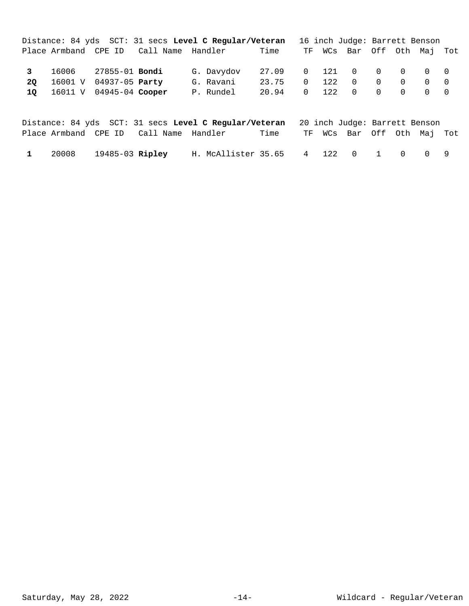|                          |                                                                                  |                                        | Distance: 84 yds SCT: 31 secs Level C Regular/Veteran |                                           |          |     | 16 inch Judge: Barrett Benson |                   |                                                        |     |
|--------------------------|----------------------------------------------------------------------------------|----------------------------------------|-------------------------------------------------------|-------------------------------------------|----------|-----|-------------------------------|-------------------|--------------------------------------------------------|-----|
|                          |                                                                                  | Place Armband CPE ID Call Name Handler |                                                       | Time                                      |          |     | TF WCs Bar Off Oth Maj        |                   |                                                        | Tot |
| $\mathbf{3}$<br>20<br>10 | 16006 27855-01 <b>Bondi</b><br>16001 V 04937-05 Party<br>16011 V 04945-04 Cooper |                                        | G. Davydov<br>G. Ravani<br>P. Rundel                  | 27.09 0 121 0 0 0 0 0<br>23.75<br>20.94 0 | $\Omega$ | 122 | $\overline{0}$<br>122 0 0 0   | $\Omega$ $\Omega$ | $\cap$<br>$\begin{matrix} 0 & 0 \\ 0 & 0 \end{matrix}$ |     |

|  |                       |                                        | Distance: 84 yds SCT: 31 secs Level C Reqular/Veteran 20 inch Judge: Barrett Benson |      |  |                            |  |  |
|--|-----------------------|----------------------------------------|-------------------------------------------------------------------------------------|------|--|----------------------------|--|--|
|  |                       | Place Armband CPE ID Call Name Handler |                                                                                     | Time |  | TF WCs Bar Off Oth Maj Tot |  |  |
|  | 20008 19485-03 Ripley |                                        | H. McAllister 35.65 4 122 0 1 0 0 9                                                 |      |  |                            |  |  |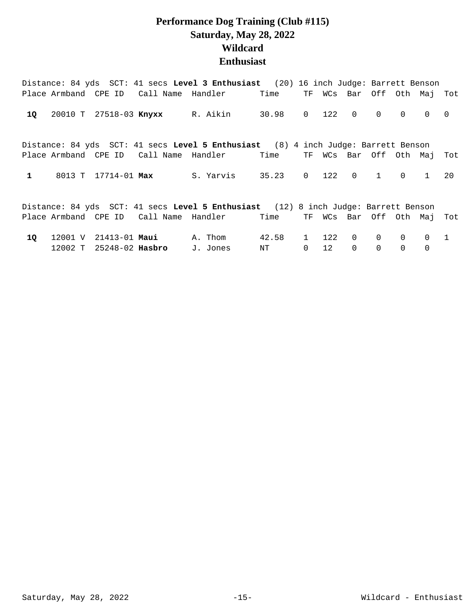#### **Performance Dog Training (Club #115) Saturday, May 28, 2022 Wildcard Enthusiast**

|              |                     |                                          | Distance: 84 yds SCT: 41 secs Level 3 Enthusiast (20) 16 inch Judge: Barrett Benson |               |   |                            |             |                |          |              |                |
|--------------|---------------------|------------------------------------------|-------------------------------------------------------------------------------------|---------------|---|----------------------------|-------------|----------------|----------|--------------|----------------|
|              |                     |                                          | Place Armband CPE ID Call Name Handler                                              | Time          |   | TF WCs Bar Off Oth Maj Tot |             |                |          |              |                |
| 1Q           |                     |                                          | 20010 T 27518-03 Knyxx R. Aikin 30.98 0 122 0                                       |               |   |                            |             | $\overline{0}$ | $\Omega$ | $\Omega$     | $\overline{0}$ |
|              |                     |                                          | Distance: 84 yds SCT: 41 secs Level 5 Enthusiast (8) 4 inch Judge: Barrett Benson   |               |   |                            |             |                |          |              |                |
|              |                     |                                          | Place Armband CPE ID Call Name Handler                                              | Time          |   | TF WCs Bar Off Oth Maj     |             |                |          |              | Tot            |
| $\mathbf{1}$ | 8013 T 17714-01 Max |                                          | S. Yarvis 35.23                                                                     |               |   | $0 \t 122$                 | $0\qquad1$  |                | $\Omega$ | $\mathbf{1}$ | 20             |
|              |                     |                                          | Distance: 84 yds SCT: 41 secs Level 5 Enthusiast (12) 8 inch Judge: Barrett Benson  |               |   |                            |             |                |          |              |                |
|              |                     |                                          | Place Armband CPE ID Call Name Handler                                              | Time          |   | TF WCs Bar Off Oth Maj Tot |             |                |          |              |                |
| 10           |                     | $12001$ V $21413-01$ <b>Maui</b> A. Thom |                                                                                     | 42.58         |   | 1 122                      | $\Omega$    | $\Omega$       | $\Omega$ | 0            | 1              |
|              |                     | 12002 T 25248-02 <b>Hasbro</b>           | J. Jones                                                                            | $\mathrm{NT}$ | 0 | 12                         | $\mathbf 0$ | $\overline{0}$ | 0        | 0            |                |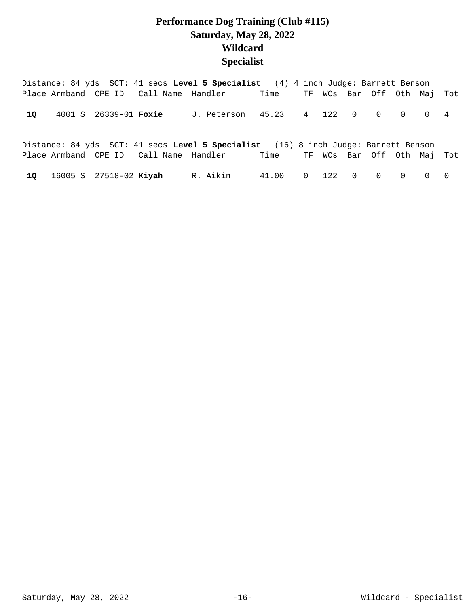## **Performance Dog Training (Club #115) Saturday, May 28, 2022 Wildcard Specialist**

|    |                        |                       |                                        | Distance: 84 yds SCT: 41 secs Level 5 Specialist (4) 4 inch Judge: Barrett Benson  |                             |  |                        |  |                |
|----|------------------------|-----------------------|----------------------------------------|------------------------------------------------------------------------------------|-----------------------------|--|------------------------|--|----------------|
|    |                        |                       | Place Armband CPE ID Call Name Handler |                                                                                    | Time                        |  | TF WCs Bar Off Oth Maj |  | Tot            |
| 10 |                        | 4001 S 26339-01 Foxie |                                        | J. Peterson 45.23 4 122 0 0 0 0 4                                                  |                             |  |                        |  |                |
|    |                        |                       |                                        | Distance: 84 yds SCT: 41 secs Level 5 Specialist (16) 8 inch Judge: Barrett Benson |                             |  |                        |  |                |
|    |                        |                       |                                        | Place Armband CPE ID Call Name Handler                                             | Time TF WCs Bar Off Oth Maj |  |                        |  | Tot            |
| 10 | 16005 S 27518-02 Kiyah |                       |                                        | R. Aikin                                                                           | 41.00  0  122  0  0  0      |  |                        |  | $\overline{0}$ |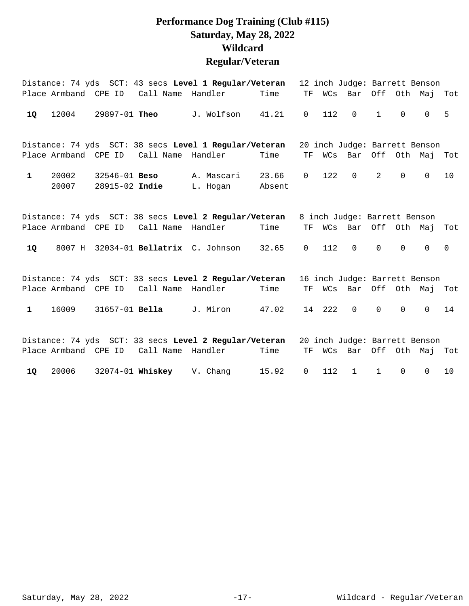## **Performance Dog Training (Club #115) Saturday, May 28, 2022 Wildcard Regular/Veteran**

|              |                      |                                     |                                        | Distance: 74 yds SCT: 43 secs Level 1 Regular/Veteran |                 |              |        | 12 inch Judge: Barrett Benson |              |             |          |             |
|--------------|----------------------|-------------------------------------|----------------------------------------|-------------------------------------------------------|-----------------|--------------|--------|-------------------------------|--------------|-------------|----------|-------------|
|              |                      |                                     | Place Armband CPE ID Call Name Handler |                                                       | Time            | TF           |        | WCs Bar Off Oth Maj           |              |             |          | Tot         |
| 1Q           | 12004                | 29897-01 Theo                       |                                        | J. Wolfson                                            | 41.21           | $\mathsf{O}$ | 112    | $\Omega$                      | $\mathbf{1}$ | $\Omega$    | $\Omega$ | 5           |
|              |                      |                                     |                                        | Distance: 74 yds SCT: 38 secs Level 1 Regular/Veteran |                 |              |        | 20 inch Judge: Barrett Benson |              |             |          |             |
|              | Place Armband CPE ID |                                     | Call Name Handler                      |                                                       | Time            | <b>TF</b>    |        | WCs Bar Off Oth Maj           |              |             |          | Tot         |
| $\mathbf{1}$ | 20002<br>20007       | $32546 - 01$ Beso<br>28915-02 Indie |                                        | A. Mascari<br>L. Hogan                                | 23.66<br>Absent | $\mathbf 0$  | 122    | $\mathbf 0$                   | 2            | $\Omega$    | $\Omega$ | 10          |
|              |                      |                                     |                                        | Distance: 74 yds SCT: 38 secs Level 2 Regular/Veteran |                 |              |        | 8 inch Judge: Barrett Benson  |              |             |          |             |
|              | Place Armband CPE ID |                                     | Call Name Handler                      |                                                       | Time            | TF           |        | WCs Bar Off Oth Maj           |              |             |          | Tot         |
| 1Q           |                      |                                     |                                        | 8007 H 32034-01 Bellatrix C. Johnson 32.65            |                 | $\mathbf 0$  | 112    | $\mathbf 0$                   | $\mathbf 0$  | $\Omega$    | $\Omega$ | $\mathbf 0$ |
|              |                      |                                     |                                        | Distance: 74 yds SCT: 33 secs Level 2 Regular/Veteran |                 |              |        | 16 inch Judge: Barrett Benson |              |             |          |             |
|              |                      | Place Armband CPE ID                | Call Name Handler                      |                                                       | Time            | TF           |        | WCs Bar Off Oth Maj           |              |             |          | Tot         |
| $\mathbf{1}$ | 16009                | 31657-01 <b>Bella</b>               |                                        | J. Miron                                              | 47.02           |              | 14 222 | $\Omega$                      | $\Omega$     | $\Omega$    | $\Omega$ | 14          |
|              |                      |                                     |                                        | Distance: 74 yds SCT: 33 secs Level 2 Regular/Veteran |                 |              |        | 20 inch Judge: Barrett Benson |              |             |          |             |
|              | Place Armband CPE ID |                                     | Call Name Handler                      |                                                       | Time            | TF           |        | WCs Bar Off Oth Maj           |              |             |          | Tot         |
| 1Q           | 20006                |                                     | 32074-01 Whiskey                       | V. Chang                                              | 15.92           | $\mathsf{O}$ | 112    | $\mathbf{1}$                  | $\mathbf{1}$ | $\mathbf 0$ | $\Omega$ | 10          |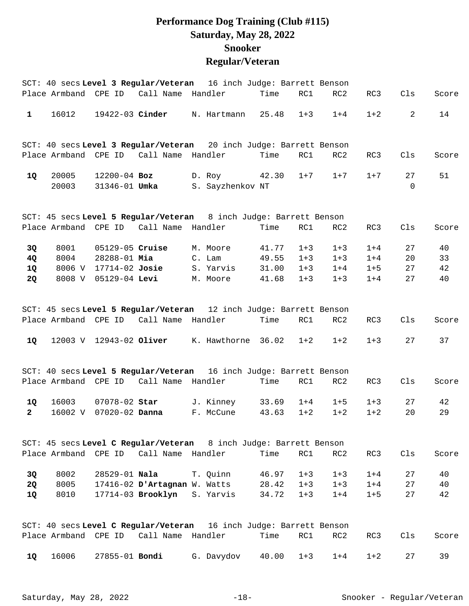## **Performance Dog Training (Club #115) Saturday, May 28, 2022 Snooker Regular/Veteran**

|              |         |                       |                                        | SCT: 40 secs Level 3 Regular/Veteran 16 inch Judge: Barrett Benson |       |         |         |         |          |       |
|--------------|---------|-----------------------|----------------------------------------|--------------------------------------------------------------------|-------|---------|---------|---------|----------|-------|
|              |         |                       | Place Armband CPE ID Call Name Handler |                                                                    | Time  | RC1     | RC2     | RC3     | Cls      | Score |
| $\mathbf{1}$ | 16012   |                       |                                        | 19422-03 Cinder N. Hartmann                                        | 25.48 | $1 + 3$ | $1 + 4$ | $1 + 2$ | 2        | 14    |
|              |         |                       |                                        | SCT: 40 secs Level 3 Regular/Veteran 20 inch Judge: Barrett Benson |       |         |         |         |          |       |
|              |         |                       | Place Armband CPE ID Call Name Handler |                                                                    | Time  | RC1     | RC2     | RC3     | Cls      | Score |
| 1Q           | 20005   | $12200 - 04$ Boz      |                                        | D. Roy                                                             | 42.30 | $1 + 7$ | $1 + 7$ | $1 + 7$ | 27       | 51    |
|              | 20003   | 31346-01 <b>Umka</b>  |                                        | S. Sayzhenkov NT                                                   |       |         |         |         | $\Omega$ |       |
|              |         |                       |                                        | SCT: 45 secs Level 5 Regular/Veteran 8 inch Judge: Barrett Benson  |       |         |         |         |          |       |
|              |         |                       | Place Armband CPE ID Call Name Handler |                                                                    | Time  | RC1     | RC2     | RC3     | Cls      | Score |
| 3Q           | 8001    | 05129-05 Cruise       |                                        | M. Moore                                                           | 41.77 | $1 + 3$ | $1 + 3$ | $1 + 4$ | 27       | 40    |
| 4Q           | 8004    | 28288-01 Mia          |                                        | C. Lam                                                             | 49.55 | $1 + 3$ | $1 + 3$ | $1 + 4$ | 20       | 33    |
| 1Q           | 8006 V  | 17714-02 Josie        |                                        | S. Yarvis                                                          | 31.00 | $1 + 3$ | $1 + 4$ | $1 + 5$ | 27       | 42    |
| 2Q           | 8008 V  | 05129-04 Levi         |                                        | M. Moore                                                           | 41.68 | $1 + 3$ | $1 + 3$ | $1 + 4$ | 27       | 40    |
|              |         |                       |                                        | SCT: 45 secs Level 5 Regular/Veteran 12 inch Judge: Barrett Benson |       |         |         |         |          |       |
|              |         | Place Armband CPE ID  | Call Name Handler                      |                                                                    | Time  | RC1     | RC2     | RC3     | Cls      | Score |
| 1Q           |         |                       |                                        | 12003 V 12943-02 Oliver K. Hawthorne 36.02                         |       | $1 + 2$ | $1 + 2$ | $1 + 3$ | 27       | 37    |
|              |         |                       |                                        | SCT: 40 secs Level 5 Regular/Veteran 16 inch Judge: Barrett Benson |       |         |         |         |          |       |
|              |         |                       | Place Armband CPE ID Call Name Handler |                                                                    | Time  | RC1     | RC2     | RC3     | Cls      | Score |
| 1Q           | 16003   | 07078-02 Star         |                                        | J. Kinney                                                          | 33.69 | $1 + 4$ | $1 + 5$ | $1 + 3$ | 27       | 42    |
| $\mathbf{2}$ | 16002 V | $07020 - 02$ Danna    |                                        | F. McCune                                                          | 43.63 | $1 + 2$ | $1 + 2$ | $1 + 2$ | 20       | 29    |
|              |         |                       |                                        | SCT: 45 secs Level C Regular/Veteran 8 inch Judge: Barrett Benson  |       |         |         |         |          |       |
|              |         |                       | Place Armband CPE ID Call Name Handler |                                                                    | Time  | RC1     | RC2     | RC3     | Cls      | Score |
| 3Q           | 8002    |                       | 28529-01 Nala                          | T. Quinn                                                           | 46.97 | $1 + 3$ | $1 + 3$ | $1 + 4$ | 27       | 40    |
| 2Q           | 8005    |                       |                                        | 17416-02 D'Artagnan W. Watts                                       | 28.42 | $1 + 3$ | $1 + 3$ | $1 + 4$ | 27       | 40    |
| <b>1Q</b>    | 8010    |                       |                                        | 17714-03 Brooklyn S. Yarvis                                        | 34.72 | $1 + 3$ | $1 + 4$ | $1 + 5$ | 27       | 42    |
|              |         |                       |                                        | SCT: 40 secs Level C Regular/Veteran 16 inch Judge: Barrett Benson |       |         |         |         |          |       |
|              |         |                       | Place Armband CPE ID Call Name Handler |                                                                    | Time  | RC1     | RC2     | RC3     | Cls      | Score |
| 1Q           | 16006   | 27855-01 <b>Bondi</b> |                                        | G. Davydov                                                         | 40.00 | $1 + 3$ | $1 + 4$ | $1 + 2$ | 27       | 39    |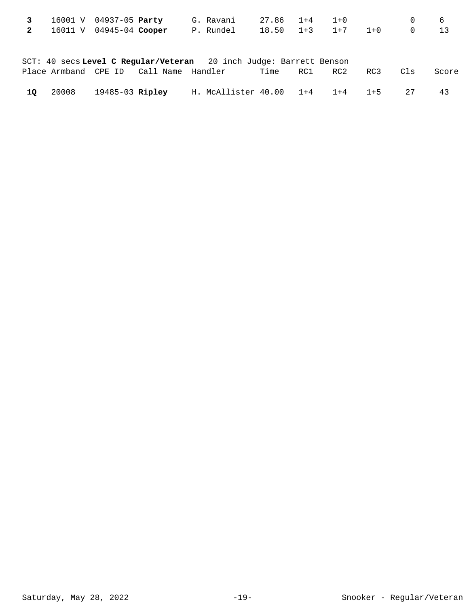|                | 16001 V | 04937-05 <b>Party</b> |  | G. Ravani                                                          | 27.86 | $1+4$ | $1 + 0$ |         |          | 6     |
|----------------|---------|-----------------------|--|--------------------------------------------------------------------|-------|-------|---------|---------|----------|-------|
| $\overline{2}$ | 16011 V | $04945-04$ Cooper     |  | P. Rundel                                                          | 18.50 | $1+3$ | $1+7$   | $1 + 0$ | $\Omega$ | 13    |
|                |         |                       |  |                                                                    |       |       |         |         |          |       |
|                |         |                       |  |                                                                    |       |       |         |         |          |       |
|                |         |                       |  | SCT: 40 secs Level C Reqular/Veteran 20 inch Judge: Barrett Benson |       |       |         |         |          |       |
|                |         |                       |  |                                                                    | Time  | RC1   | RC2     | RC3     | Cls      | Score |
|                |         |                       |  |                                                                    |       |       |         |         |          |       |
| 10             | 20008   | 19485-03 Ripley       |  | H. McAllister 40.00                                                |       | $1+4$ | $1+4$   | $1 + 5$ | 27       | 43    |
|                |         |                       |  |                                                                    |       |       |         |         |          |       |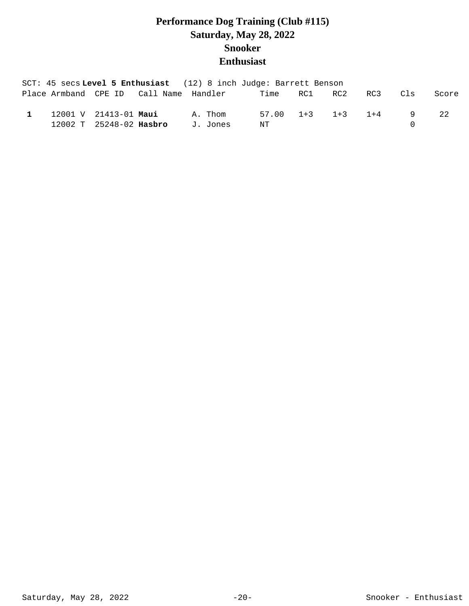## **Performance Dog Training (Club #115) Saturday, May 28, 2022 Snooker Enthusiast**

|              |                         |  | SCT: 45 secs Level 5 Enthusiast (12) 8 inch Judge: Barrett Benson |    |                           |     |                |       |
|--------------|-------------------------|--|-------------------------------------------------------------------|----|---------------------------|-----|----------------|-------|
|              |                         |  | Place Armband CPE ID    Call Name Handler    Time    RC1    RC2   |    |                           | RC3 | C1s            | Score |
| $\mathbf{1}$ | 12001 V 21413-01 Maui   |  | A. Thom                                                           |    | $57.00$ $1+3$ $1+3$ $1+4$ |     | $\overline{q}$ | 2.2.  |
|              | 12002 T 25248-02 Hasbro |  | J. Jones                                                          | NT |                           |     |                |       |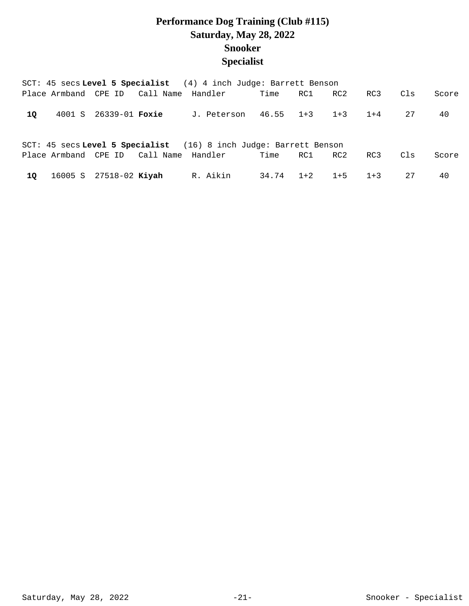## **Performance Dog Training (Club #115) Saturday, May 28, 2022 Snooker Specialist**

|     |                                                                   |                        |                                        | SCT: 45 secs Level 5 Specialist (4) 4 inch Judge: Barrett Benson |           |       |         |         |     |       |  |  |  |  |  |
|-----|-------------------------------------------------------------------|------------------------|----------------------------------------|------------------------------------------------------------------|-----------|-------|---------|---------|-----|-------|--|--|--|--|--|
|     |                                                                   |                        | Place Armband CPE ID Call Name Handler |                                                                  | Time      | RC1 N | RC2     | RC3     | Cls | Score |  |  |  |  |  |
| 10. |                                                                   | 4001 S 26339-01 Foxie  |                                        | J. Peterson                                                      | 46.55 1+3 |       | $1 + 3$ | $1 + 4$ | 27  | 40    |  |  |  |  |  |
|     | SCT: 45 secs Level 5 Specialist (16) 8 inch Judge: Barrett Benson |                        |                                        |                                                                  |           |       |         |         |     |       |  |  |  |  |  |
|     |                                                                   |                        | Place Armband CPE ID Call Name Handler |                                                                  | Time      | RC1 N | RC2     | RC3     | C1s | Score |  |  |  |  |  |
| 10  |                                                                   | 16005 S 27518-02 Kiyah |                                        | R. Aikin                                                         | 34.74 1+2 |       | $1+5$   | $1 + 3$ | 27  | 40    |  |  |  |  |  |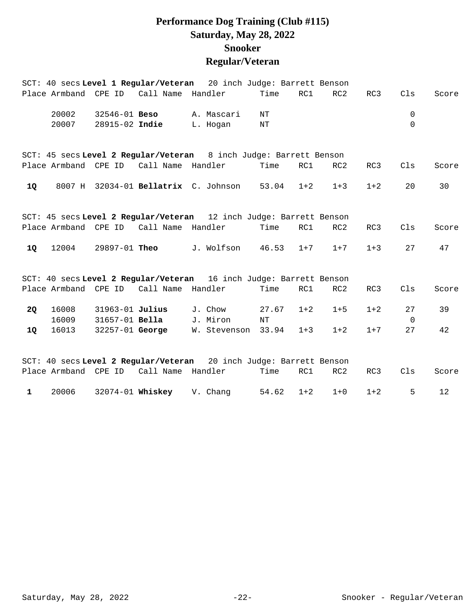## **Performance Dog Training (Club #115) Saturday, May 28, 2022 Snooker Regular/Veteran**

|              |       |                       |                                        | SCT: 40 secs Level 1 Regular/Veteran 20 inch Judge: Barrett Benson |       |         |                 |         |             |       |
|--------------|-------|-----------------------|----------------------------------------|--------------------------------------------------------------------|-------|---------|-----------------|---------|-------------|-------|
|              |       |                       | Place Armband CPE ID Call Name Handler |                                                                    | Time  | RC1     | RC2             | RC3     | Cls         | Score |
|              | 20002 | 32546-01 <b>Beso</b>  |                                        | A. Mascari                                                         | ΝT    |         |                 |         | 0           |       |
|              | 20007 | 28915-02 Indie        |                                        | L. Hogan                                                           | NΤ    |         |                 |         | $\Omega$    |       |
|              |       |                       |                                        | SCT: 45 secs Level 2 Regular/Veteran 8 inch Judge: Barrett Benson  |       |         |                 |         |             |       |
|              |       | Place Armband CPE ID  | Call Name Handler                      |                                                                    | Time  | RC1     | RC <sub>2</sub> | RC3     | Cls         | Score |
| 1Q           |       |                       |                                        | 8007 H 32034-01 Bellatrix C. Johnson 53.04                         |       | $1 + 2$ | $1 + 3$         | $1 + 2$ | 20          | 30    |
|              |       |                       |                                        | SCT: 45 secs Level 2 Regular/Veteran 12 inch Judge: Barrett Benson |       |         |                 |         |             |       |
|              |       | Place Armband CPE ID  | Call Name Handler                      |                                                                    | Time  | RC1     | RC2             | RC3     | Cls         | Score |
| 1Q           | 12004 | 29897-01 <b>Theo</b>  |                                        | J. Wolfson                                                         | 46.53 | $1 + 7$ | $1 + 7$         | $1 + 3$ | 27          | 47    |
|              |       |                       |                                        | SCT: 40 secs Level 2 Regular/Veteran 16 inch Judge: Barrett Benson |       |         |                 |         |             |       |
|              |       |                       | Place Armband CPE ID Call Name Handler |                                                                    | Time  | RC1     | RC2             | RC3     | Cls         | Score |
| <b>2Q</b>    | 16008 | 31963-01 Julius       |                                        | J. Chow                                                            | 27.67 | $1 + 2$ | $1 + 5$         | $1 + 2$ | 27          | 39    |
|              | 16009 | 31657-01 <b>Bella</b> |                                        | J. Miron                                                           | NT    |         |                 |         | $\mathbf 0$ |       |
| 1Q           | 16013 | 32257-01 George       |                                        | W. Stevenson 33.94                                                 |       | $1 + 3$ | $1 + 2$         | $1 + 7$ | 27          | 42    |
|              |       |                       |                                        | SCT: 40 secs Level 2 Regular/Veteran 20 inch Judge: Barrett Benson |       |         |                 |         |             |       |
|              |       | Place Armband CPE ID  | Call Name Handler                      |                                                                    | Time  | RC1     | RC2             | RC3     | Cls         | Score |
| $\mathbf{1}$ | 20006 |                       | 32074-01 Whiskey V. Chang              |                                                                    | 54.62 | $1 + 2$ | $1 + 0$         | $1 + 2$ | 5           | 12    |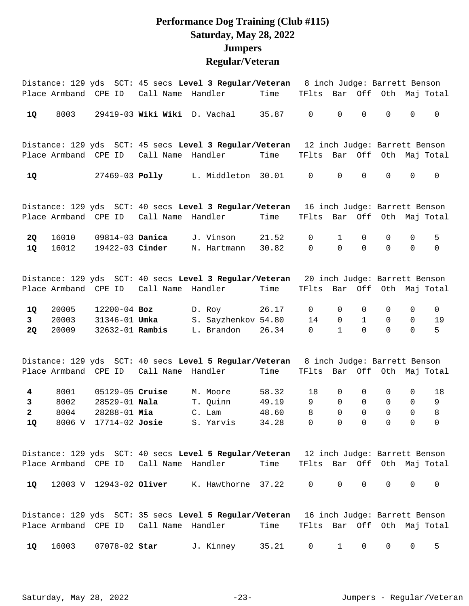#### **Performance Dog Training (Club #115) Saturday, May 28, 2022 Jumpers Regular/Veteran**

|                      |                      |                                    |                                        | Distance: 129 yds SCT: 45 secs Level 3 Regular/Veteran 8 inch Judge: Barrett Benson             |                |                             |                            |                            |                               |                               |                     |
|----------------------|----------------------|------------------------------------|----------------------------------------|-------------------------------------------------------------------------------------------------|----------------|-----------------------------|----------------------------|----------------------------|-------------------------------|-------------------------------|---------------------|
|                      |                      | Place Armband CPE ID               | Call Name                              | Handler                                                                                         | Time           | TFlts Bar Off Oth Maj Total |                            |                            |                               |                               |                     |
| 1Q                   | 8003                 |                                    |                                        | 29419-03 Wiki Wiki D. Vachal                                                                    | 35.87          | $\mathsf 0$                 | $\mathsf{O}\xspace$        | $\mathsf 0$                | $\mathsf{O}\xspace$           | 0                             | $\mathsf{O}$        |
|                      |                      |                                    |                                        | Distance: 129 yds SCT: 45 secs Level 3 Regular/Veteran 12 inch Judge: Barrett Benson            |                |                             |                            |                            |                               |                               |                     |
|                      |                      |                                    |                                        |                                                                                                 | Time           | TFlts Bar Off Oth Maj Total |                            |                            |                               |                               |                     |
| 1Q                   |                      |                                    | 27469-03 <b>Polly</b>                  | L. Middleton 30.01                                                                              |                | $\mathbf 0$                 | $\mathbf 0$                | $\mathbf 0$                | $\mathbf 0$                   | 0                             | $\mathbf 0$         |
|                      |                      |                                    |                                        | Distance: 129 yds SCT: 40 secs Level 3 Regular/Veteran 16 inch Judge: Barrett Benson            |                |                             |                            |                            |                               |                               |                     |
|                      | Place Armband CPE ID |                                    | Call Name                              | Handler                                                                                         | Time           | TFlts                       | Bar                        |                            |                               |                               | Off Oth Maj Total   |
| <b>2Q</b><br>1Q      | 16010<br>16012       | 09814-03 Danica<br>19422-03 Cinder |                                        | J. Vinson<br>N. Hartmann                                                                        | 21.52<br>30.82 | 0<br>$\mathbf 0$            | $\mathbf 1$<br>$\Omega$    | 0<br>$\mathbf 0$           | 0<br>$\Omega$                 | $\mathbf 0$<br>$\mathbf 0$    | 5<br>$\mathsf{O}$   |
|                      |                      | Place Armband CPE ID               | Call Name                              | Distance: 129 yds SCT: 40 secs Level 3 Regular/Veteran 20 inch Judge: Barrett Benson<br>Handler | Time           | TFlts Bar Off Oth Maj Total |                            |                            |                               |                               |                     |
| 1Q                   | 20005                | $12200 - 04$ Boz                   |                                        | D. Roy                                                                                          | 26.17          | 0                           | 0                          | 0                          | 0                             | 0                             | 0                   |
| 3 <sup>7</sup>       | 20003                | 31346-01 <b>Umka</b>               |                                        | S. Sayzhenkov 54.80                                                                             |                | 14                          | $\mathbf 0$                | $\mathbf{1}$               | $\mathsf{O}$                  | 0                             | 19                  |
| 2Q                   | 20009                | 32632-01 Rambis                    |                                        | L. Brandon                                                                                      | 26.34          | 0                           | $\mathbf{1}$               | $\Omega$                   | $\Omega$                      | $\Omega$                      | 5                   |
|                      |                      |                                    |                                        | Distance: 129 yds SCT: 40 secs Level 5 Regular/Veteran 8 inch Judge: Barrett Benson             |                |                             |                            |                            |                               |                               |                     |
|                      |                      | Place Armband CPE ID               | Call Name                              | Handler                                                                                         | Time           | TFlts Bar Off Oth Maj Total |                            |                            |                               |                               |                     |
| $\overline{4}$       | 8001                 | 05129-05 Cruise                    |                                        | M. Moore                                                                                        | 58.32          | 18                          | 0                          | 0                          | 0                             | 0                             | 18                  |
| $\mathbf{3}$         | 8002                 | 28529-01 Nala                      |                                        | T. Quinn                                                                                        | 49.19          | 9                           | $\Omega$                   | $\mathbf 0$                | $\mathbf 0$                   | 0                             | 9                   |
| $\overline{a}$<br>1Q | 8004                 | 28288-01 Mia                       |                                        | C. Lam<br>8006 V 17714-02 Josie S. Yarvis 34.28                                                 | 48.60          | 8<br>$\overline{0}$         | $\Omega$<br>$\overline{0}$ | $\Omega$<br>$\overline{0}$ | $\mathbf 0$<br>$\overline{0}$ | $\mathbf 0$<br>$\overline{0}$ | 8<br>$\overline{0}$ |
|                      |                      |                                    |                                        |                                                                                                 |                |                             |                            |                            |                               |                               |                     |
|                      |                      |                                    |                                        | Distance: 129 yds SCT: 40 secs Level 5 Regular/Veteran 12 inch Judge: Barrett Benson            |                |                             |                            |                            |                               |                               |                     |
|                      |                      |                                    | Place Armband CPE ID Call Name Handler |                                                                                                 | Time           | TFlts Bar Off Oth Maj Total |                            |                            |                               |                               |                     |
| 1Q                   |                      | 12003 V 12943-02 Oliver            |                                        | K. Hawthorne 37.22                                                                              |                | 0                           | $\mathbf 0$                | $\mathbf 0$                | $\mathbf 0$                   | 0                             | $\mathbf 0$         |
|                      |                      |                                    |                                        | Distance: 129 yds SCT: 35 secs Level 5 Regular/Veteran 16 inch Judge: Barrett Benson            |                |                             |                            |                            |                               |                               |                     |
|                      |                      | Place Armband CPE ID               | Call Name                              | Handler                                                                                         | Time           | TFlts Bar Off Oth Maj Total |                            |                            |                               |                               |                     |

16003 07078-02 J. Kinney 35.21 0 1 0 0 0 5 **1Q Star**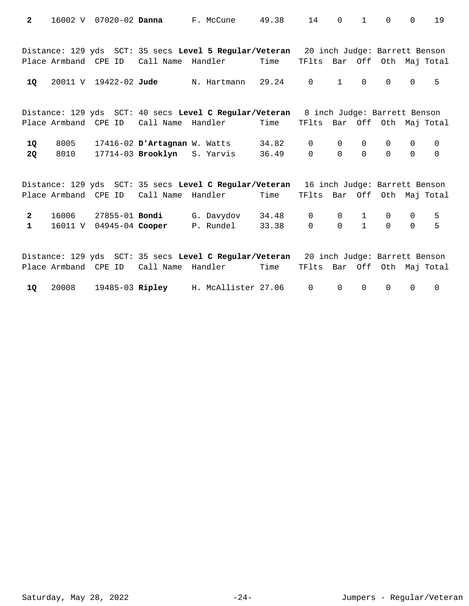| $\overline{2}$               | 16002 V              |                         | 07020-02 <b>Danna</b> | F. McCune                                                                                                 | 49.38          | 14                          | $\Omega$                | $\mathbf{1}$                 | $\Omega$                | $\mathbf 0$   | 19                          |
|------------------------------|----------------------|-------------------------|-----------------------|-----------------------------------------------------------------------------------------------------------|----------------|-----------------------------|-------------------------|------------------------------|-------------------------|---------------|-----------------------------|
|                              |                      | Place Armband CPE ID    |                       | Distance: 129 yds SCT: 35 secs Level 5 Regular/Veteran 20 inch Judge: Barrett Benson<br>Call Name Handler | Time           | TFlts Bar Off Oth Maj Total |                         |                              |                         |               |                             |
| 1Q                           |                      |                         | 20011 V 19422-02 Jude | N. Hartmann                                                                                               | 29.24          | $\overline{0}$              | $\mathbf{1}$            | $\Omega$                     | $\Omega$                | 0             | 5                           |
|                              |                      | Place Armband CPE ID    | Call Name             | Distance: 129 yds SCT: 40 secs Level C Regular/Veteran 8 inch Judge: Barrett Benson<br>Handler            | Time           | TFlts Bar Off Oth Maj Total |                         |                              |                         |               |                             |
| 1Q<br><b>2Q</b>              | 8005<br>8010         |                         | 17714-03 Brooklyn     | 17416-02 D'Artagnan W. Watts<br>S. Yarvis                                                                 | 34.82<br>36.49 | $\mathbf 0$<br>$\Omega$     | $\mathbf 0$<br>$\Omega$ | $\mathbf 0$<br>$\Omega$      | $\mathbf 0$<br>$\Omega$ | 0<br>$\Omega$ | $\mathsf{O}$<br>$\mathbf 0$ |
|                              |                      | Place Armband CPE ID    |                       | Distance: 129 yds SCT: 35 secs Level C Regular/Veteran 16 inch Judge: Barrett Benson<br>Call Name Handler | Time           | TFlts Bar Off Oth Maj Total |                         |                              |                         |               |                             |
| $\mathbf{2}$<br>$\mathbf{1}$ | 16006                | 16011 V 04945-04 Cooper |                       | 27855-01 Bondi G. Davydov<br>P. Rundel                                                                    | 34.48<br>33.38 | $\mathbf 0$<br>$\Omega$     | $\mathbf 0$<br>$\Omega$ | $\mathbf{1}$<br>$\mathbf{1}$ | $\mathbf 0$<br>$\Omega$ | 0<br>$\Omega$ | 5<br>5                      |
|                              | Place Armband CPE ID |                         | Call Name             | Distance: 129 yds SCT: 35 secs Level C Regular/Veteran 20 inch Judge: Barrett Benson<br>Handler           | Time           | TFlts Bar Off               |                         |                              |                         |               | Oth Maj Total               |
| 1Q                           | 20008                |                         | 19485-03 Ripley       | H. McAllister 27.06                                                                                       |                | $\mathbf 0$                 | $\mathbf 0$             | $\mathbf 0$                  | $\Omega$                | 0             | 0                           |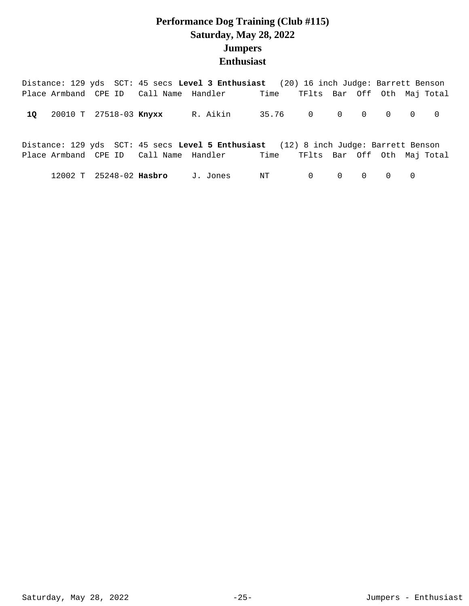# **Performance Dog Training (Club #115) Saturday, May 28, 2022 Jumpers Enthusiast**

|  |  | Distance: 129 yds SCT: 45 secs Level 3 Enthusiast (20) 16 inch Judge: Barrett Benson                                                                           |  |  |  |  |
|--|--|----------------------------------------------------------------------------------------------------------------------------------------------------------------|--|--|--|--|
|  |  | Place Armband CPE ID Call Name Handler Time TFlts Bar Off Oth Maj Total                                                                                        |  |  |  |  |
|  |  | 10 20010 T 27518-03 Knyxx R. Aikin 35.76 0 0 0 0 0 0 0                                                                                                         |  |  |  |  |
|  |  | Distance: 129 yds SCT: 45 secs Level 5 Enthusiast (12) 8 inch Judge: Barrett Benson<br>Place Armband CPE ID Call Name Handler Time TFlts Bar Off Oth Maj Total |  |  |  |  |
|  |  | 12002 T 25248-02 Hasbro J.Jones NT 0 0 0 0 0 0                                                                                                                 |  |  |  |  |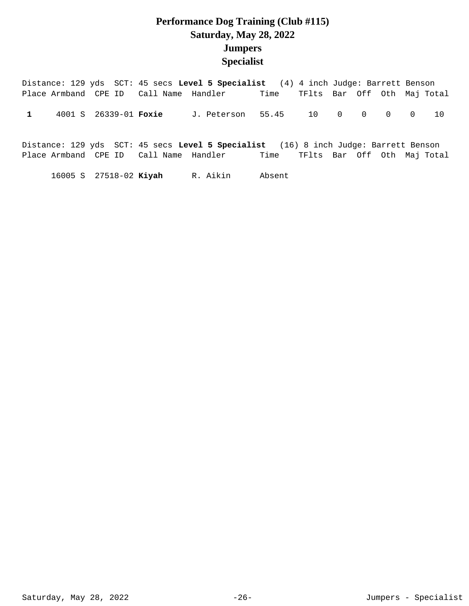#### **Performance Dog Training (Club #115) Saturday, May 28, 2022 Jumpers Specialist**

Distance: 129 yds SCT: 45 secs **Level 5 Specialist** (4) 4 inch Judge: Barrett Benson Place Armband CPE ID Call Name Handler Time TFlts Bar Off Oth Maj Total 1 4001 S 26339-01 **Foxie** J. Peterson 55.45 10 0 0 0 0 10

Distance: 129 yds SCT: 45 secs **Level 5 Specialist** (16) 8 inch Judge: Barrett Benson Place Armband CPE ID Call Name Handler Time TFlts Bar Off Oth Maj Total

16005 S 27518-02 R. Aikin Absent **Kiyah**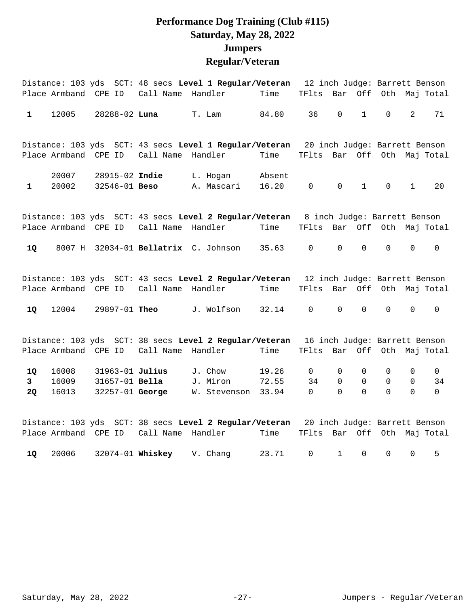## **Performance Dog Training (Club #115) Saturday, May 28, 2022 Jumpers Regular/Veteran**

|                |                |                                        |                   | Distance: 103 yds SCT: 48 secs Level 1 Regular/Veteran                               |                 |                             |             |              |                     |              | 12 inch Judge: Barrett Benson |
|----------------|----------------|----------------------------------------|-------------------|--------------------------------------------------------------------------------------|-----------------|-----------------------------|-------------|--------------|---------------------|--------------|-------------------------------|
|                | Place Armband  | CPE ID                                 | Call Name         | Handler                                                                              | Time            | TFlts                       | Bar         | Off          |                     |              | Oth Maj Total                 |
| $\mathbf{1}$   | 12005          | 28288-02 Luna                          |                   | T. Lam                                                                               | 84.80           | 36                          | $\mathbf 0$ | $\mathbf{1}$ | 0                   | 2            | 71                            |
|                |                |                                        |                   | Distance: 103 yds SCT: 43 secs Level 1 Regular/Veteran 20 inch Judge: Barrett Benson |                 |                             |             |              |                     |              |                               |
|                |                | Place Armband CPE ID                   | Call Name         | Handler                                                                              | Time            | TFlts Bar Off Oth Maj Total |             |              |                     |              |                               |
| $\mathbf{1}$   | 20007<br>20002 | 28915-02 Indie<br>32546-01 <b>Beso</b> |                   | L. Hogan<br>A. Mascari                                                               | Absent<br>16.20 | $\mathbf 0$                 | $\mathbf 0$ | $\mathbf{1}$ | $\mathsf{O}$        | $\mathbf{1}$ | 20                            |
|                |                |                                        |                   | Distance: 103 yds SCT: 43 secs Level 2 Regular/Veteran 8 inch Judge: Barrett Benson  |                 |                             |             |              |                     |              |                               |
|                |                | Place Armband CPE ID                   | Call Name Handler |                                                                                      | Time            | TFlts Bar Off Oth Maj Total |             |              |                     |              |                               |
| 1Q             | 8007 H         |                                        |                   | 32034-01 Bellatrix C. Johnson                                                        | 35.63           | $\mathsf{O}\xspace$         | $\mathsf 0$ | $\mathsf 0$  | $\mathsf{O}\xspace$ | $\mathsf 0$  | $\mathsf 0$                   |
|                |                |                                        |                   | Distance: 103 yds SCT: 43 secs Level 2 Regular/Veteran 12 inch Judge: Barrett Benson |                 |                             |             |              |                     |              |                               |
|                |                | Place Armband CPE ID                   | Call Name Handler |                                                                                      | Time            | TFlts Bar Off               |             |              |                     |              | Oth Maj Total                 |
| 1Q             | 12004          |                                        | 29897-01 Theo     | J. Wolfson                                                                           | 32.14           | 0                           | $\mathbf 0$ | 0            | 0                   | 0            | 0                             |
|                |                |                                        |                   | Distance: 103 yds SCT: 38 secs Level 2 Regular/Veteran                               |                 |                             |             |              |                     |              | 16 inch Judge: Barrett Benson |
|                |                | Place Armband CPE ID                   | Call Name         | Handler                                                                              | Time            | TFlts Bar Off Oth Maj Total |             |              |                     |              |                               |
| 1Q             | 16008          | 31963-01 Julius                        |                   | J. Chow                                                                              | 19.26           | $\mathsf{O}$                | 0           | 0            | 0                   | 0            | $\mathsf{O}$                  |
| 3 <sup>7</sup> | 16009          | 31657-01 Bella                         |                   | J. Miron                                                                             | 72.55           | 34                          | $\Omega$    | $\Omega$     | 0                   | 0            | 34                            |
| <b>2Q</b>      | 16013          | 32257-01 George                        |                   | W. Stevenson                                                                         | 33.94           | $\mathbf 0$                 | $\Omega$    | $\Omega$     | $\Omega$            | $\Omega$     | $\Omega$                      |
|                |                |                                        |                   | Distance: 103 yds SCT: 38 secs Level 2 Regular/Veteran 20 inch Judge: Barrett Benson |                 |                             |             |              |                     |              |                               |
|                |                | Place Armband CPE ID                   | Call Name         | Handler                                                                              | Time            | TFlts                       |             |              |                     |              | Bar Off Oth Maj Total         |

20006 32074-01 V. Chang 23.71 0 1 0 0 0 5 **1Q Whiskey**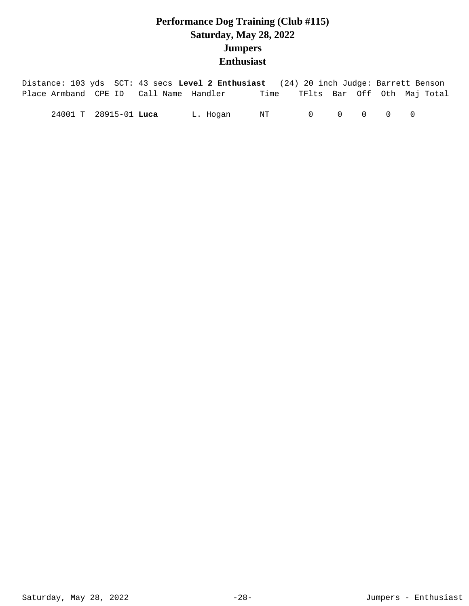# **Performance Dog Training (Club #115) Saturday, May 28, 2022 Jumpers Enthusiast**

| Distance: 103 yds SCT: 43 secs Level 2 Enthusiast (24) 20 inch Judge: Barrett Benson |                       |          |      |                                         |  |                             |
|--------------------------------------------------------------------------------------|-----------------------|----------|------|-----------------------------------------|--|-----------------------------|
| Place Armband CPE ID Call Name Handler                                               |                       |          | Time |                                         |  | TFlts Bar Off Oth Maj-Total |
|                                                                                      | 24001 T 28915-01 Luca | L. Hogan | NT   | $\begin{matrix} 0 & 0 & 0 \end{matrix}$ |  |                             |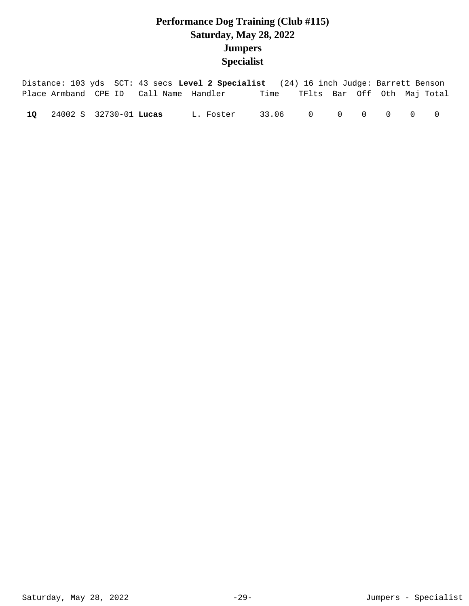# **Performance Dog Training (Club #115) Saturday, May 28, 2022 Jumpers Specialist**

|  |                           |                                        | Distance: 103 yds SCT: 43 secs Level 2 Specialist (24) 16 inch Judge: Barrett Benson |                                  |  |  |                |
|--|---------------------------|----------------------------------------|--------------------------------------------------------------------------------------|----------------------------------|--|--|----------------|
|  |                           | Place Armband CPE ID Call Name Handler |                                                                                      | Time TFlts Bar Off Oth Maj-Total |  |  |                |
|  | 10 24002 S 32730-01 Lucas |                                        | L. Foster                                                                            | 33.06 0 0 0 0 0                  |  |  | $\overline{0}$ |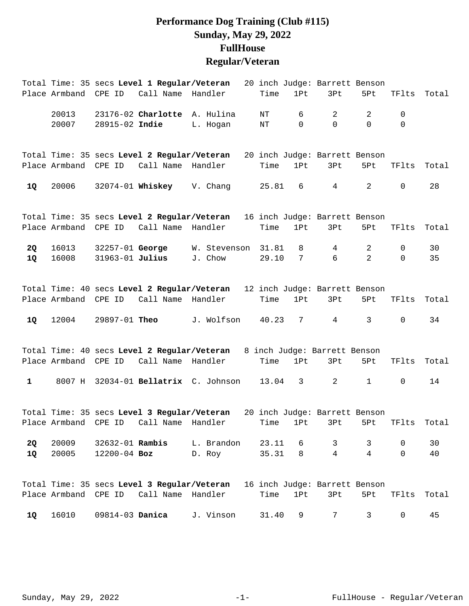## **Performance Dog Training (Club #115) Sunday, May 29, 2022 FullHouse Regular/Veteran**

|              |                      |                      | Total Time: 35 secs Level 1 Regular/Veteran                               |              |       |                 | 20 inch Judge: Barrett Benson |                |              |       |
|--------------|----------------------|----------------------|---------------------------------------------------------------------------|--------------|-------|-----------------|-------------------------------|----------------|--------------|-------|
|              | Place Armband CPE ID |                      | Call Name                                                                 | Handler      | Time  | 1Pt             | 3Pt                           | 5Pt            | TFlts        | Total |
|              | 20013                |                      | 23176-02 Charlotte A. Hulina                                              |              | NT    | 6               | $\overline{2}$                | 2              | 0            |       |
|              | 20007                | 28915-02 Indie       |                                                                           | L. Hogan     | ΝT    | $\mathbf 0$     | $\mathsf{O}$                  | $\Omega$       | 0            |       |
|              |                      |                      | Total Time: 35 secs Level 2 Regular/Veteran                               |              |       |                 | 20 inch Judge: Barrett Benson |                |              |       |
|              |                      |                      | Place Armband CPE ID Call Name Handler                                    |              | Time  | 1Pt             | 3Pt                           | 5Pt            | TFlts        | Total |
| 1Q           | 20006                |                      | $32074 - 01$ Whiskey V. Chang                                             |              | 25.81 | 6               | $4\overline{ }$               | $\overline{a}$ | $\mathbf 0$  | 28    |
|              |                      |                      | Total Time: 35 secs Level 2 Regular/Veteran                               |              |       |                 | 16 inch Judge: Barrett Benson |                |              |       |
|              | Place Armband CPE ID |                      | Call Name                                                                 | Handler      | Time  | 1Pt             | 3Pt                           | 5Pt            | TFlts        | Total |
| 2Q           | 16013                | 32257-01 George      |                                                                           | W. Stevenson | 31.81 | 8               | $4\overline{ }$               | 2              | 0            | 30    |
| <b>1Q</b>    | 16008                | 31963-01 Julius      |                                                                           | J. Chow      | 29.10 | $7\phantom{.0}$ | 6                             | $\overline{a}$ | $\Omega$     | 35    |
|              |                      |                      | Total Time: 40 secs Level 2 Regular/Veteran                               |              |       |                 | 12 inch Judge: Barrett Benson |                |              |       |
|              | Place Armband CPE ID |                      | Call Name                                                                 | Handler      | Time  | 1Pt             | 3Pt                           | 5Pt            | TFlts        | Total |
| 1Q           | 12004                |                      | 29897-01 Theo                                                             | J. Wolfson   | 40.23 | $7\overline{ }$ | $4\overline{ }$               | 3              | $\mathbf 0$  | 34    |
|              |                      |                      | Total Time: 40 secs Level 2 Regular/Veteran 8 inch Judge: Barrett Benson  |              |       |                 |                               |                |              |       |
|              |                      | Place Armband CPE ID | Call Name Handler                                                         |              | Time  | 1Pt             | 3Pt                           | 5Pt            | TFlts        | Total |
| $\mathbf{1}$ |                      |                      | 8007 H 32034-01 Bellatrix C. Johnson                                      |              | 13.04 | $3^{\circ}$     | $\overline{2}$                | $\mathbf{1}$   | $\mathsf{O}$ | 14    |
|              |                      |                      | Total Time: 35 secs Level 3 Regular/Veteran 20 inch Judge: Barrett Benson |              |       |                 |                               |                |              |       |
|              |                      |                      | Place Armband CPE ID Call Name Handler Time 1Pt 3Pt 5Pt TFlts Total       |              |       |                 |                               |                |              |       |
| 2Q           | 20009                | 32632-01 Rambis      |                                                                           | L. Brandon   | 23.11 | 6               | $\mathbf{3}$                  | 3              | 0            | 30    |
| 1Q           | 20005                | $12200 - 04$ Boz     |                                                                           | D. Roy       | 35.31 | 8               | $\overline{4}$                | $\overline{4}$ | $\Omega$     | 40    |
|              |                      |                      | Total Time: 35 secs Level 3 Regular/Veteran 16 inch Judge: Barrett Benson |              |       |                 |                               |                |              |       |
|              |                      |                      | Place Armband CPE ID Call Name Handler                                    |              | Time  | 1Pt             | 3Pt                           | 5Pt            | TFlts        | Total |
| 1Q           | 16010                | 09814-03 Danica      |                                                                           | J. Vinson    | 31.40 | 9               | 7                             | 3              | 0            | 45    |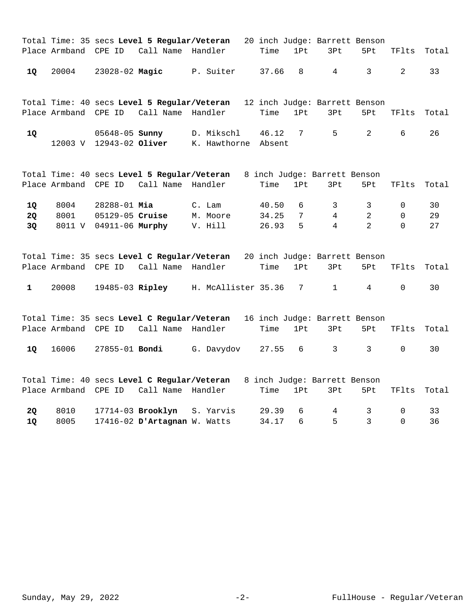|              |                      |                         | Total Time: 35 secs Level 5 Regular/Veteran 20 inch Judge: Barrett Benson |                     |        |                 |                                      |                |             |       |
|--------------|----------------------|-------------------------|---------------------------------------------------------------------------|---------------------|--------|-----------------|--------------------------------------|----------------|-------------|-------|
|              | Place Armband CPE ID |                         | Call Name                                                                 | Handler             | Time   | 1Pt             | 3Pt                                  | 5Pt            | TFlts       | Total |
| <b>1Q</b>    | 20004                |                         | 23028-02 Magic                                                            | P. Suiter           | 37.66  | 8               | 4                                    | 3              | 2           | 33    |
|              | Place Armband        | CPE ID                  | Total Time: 40 secs Level 5 Regular/Veteran<br>Call Name                  | Handler             | Time   | 1Pt             | 12 inch Judge: Barrett Benson<br>3Pt | 5Pt            | TFlts       | Total |
|              |                      |                         |                                                                           |                     |        |                 |                                      |                |             |       |
| <b>1Q</b>    |                      | 05648-05 <b>Sunny</b>   |                                                                           | D. Mikschl          | 46.12  | $7\overline{ }$ | 5                                    | 2              | 6           | 26    |
|              |                      | 12003 V 12943-02 Oliver |                                                                           | K. Hawthorne        | Absent |                 |                                      |                |             |       |
|              |                      |                         |                                                                           |                     |        |                 |                                      |                |             |       |
|              |                      |                         | Total Time: 40 secs Level 5 Regular/Veteran                               |                     |        |                 | 8 inch Judge: Barrett Benson         |                |             |       |
|              | Place Armband CPE ID |                         | Call Name                                                                 | Handler             | Time   | 1Pt             | 3Pt                                  | 5Pt            | TFlts       | Total |
| 1Q           | 8004                 | 28288-01 Mia            |                                                                           | C. Lam              | 40.50  | 6               | 3                                    | 3              | 0           | 30    |
| <b>2Q</b>    | 8001                 | 05129-05 Cruise         |                                                                           | M. Moore            | 34.25  | 7               | 4                                    | $\overline{2}$ | $\mathbf 0$ | 29    |
| 3Q           | 8011 V               | 04911-06 Murphy         |                                                                           | V. Hill             | 26.93  | 5               | 4                                    | $\mathfrak{D}$ | $\Omega$    | 27    |
|              |                      |                         |                                                                           |                     |        |                 |                                      |                |             |       |
|              |                      |                         | Total Time: 35 secs Level C Regular/Veteran                               |                     |        |                 | 20 inch Judge: Barrett Benson        |                |             |       |
|              | Place Armband        | CPE ID                  | Call Name                                                                 | Handler             | Time   | 1Pt             | 3Pt                                  | 5Pt            | TFlts       | Total |
| $\mathbf{1}$ | 20008                |                         | 19485-03 Ripley                                                           | H. McAllister 35.36 |        | 7               | $\mathbf{1}$                         | 4              | $\mathbf 0$ | 30    |
|              |                      |                         |                                                                           |                     |        |                 |                                      |                |             |       |
|              |                      |                         | Total Time: 35 secs Level C Regular/Veteran                               |                     |        |                 | 16 inch Judge: Barrett Benson        |                |             |       |
|              | Place Armband CPE ID |                         | Call Name Handler                                                         |                     | Time   | 1Pt             | 3Pt                                  | 5Pt            | TFlts       | Total |
| 1Q           | 16006                | 27855-01 Bondi          |                                                                           | G. Davydov          | 27.55  | 6               | 3                                    | 3              | 0           | 30    |

|     |  | Total Time: 40 secs Level C Regular/Veteran |  |  | 8 inch Judge: Barrett Benson |                 |      |
|-----|--|---------------------------------------------|--|--|------------------------------|-----------------|------|
|     |  | Place Armband CPE ID Call Name Handler      |  |  | Time 1Pt 3Pt                 | 5Pt TFlts Total |      |
| -20 |  | 8010 17714-03 <b>Brooklyn</b> S. Yarvis     |  |  | 29.39 6 4 3 0                |                 | ્રાવ |
| 10  |  | 8005 17416-02 D'Artagnan W. Watts           |  |  | 34.17 6 5 3 0                |                 | 36   |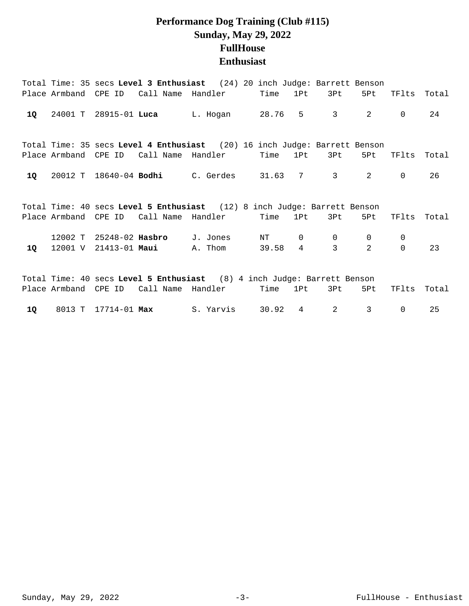## **Performance Dog Training (Club #115) Sunday, May 29, 2022 FullHouse Enthusiast**

|    |        |                      | Total Time: 35 secs Level 3 Enthusiast (24) 20 inch Judge: Barrett Benson |                   |       |                 |                     |              |             |       |
|----|--------|----------------------|---------------------------------------------------------------------------|-------------------|-------|-----------------|---------------------|--------------|-------------|-------|
|    |        |                      | Place Armband CPE ID Call Name Handler                                    |                   | Time  | 1Pt             | 3Pt                 | 5Pt          | TFlts       | Total |
| 1Q |        |                      | 24001 T 28915-01 Luca L. Hogan                                            |                   | 28.76 |                 | $5 \qquad \qquad 3$ | $2^{\circ}$  | $\Omega$    | 24    |
|    |        |                      | Total Time: 35 secs Level 4 Enthusiast (20) 16 inch Judge: Barrett Benson |                   |       |                 |                     |              |             |       |
|    |        |                      | Place Armband CPE ID Call Name Handler                                    |                   | Time  | 1Pt             | 3Pt                 | 5Pt          | TFlts       | Total |
| 1Q |        |                      | 20012 T 18640-04 Bodhi C. Gerdes                                          |                   |       | 31.63 7         | $3 \sim$            | 2            | $\Omega$    | 26    |
|    |        |                      | Total Time: 40 secs Level 5 Enthusiast (12) 8 inch Judge: Barrett Benson  |                   |       |                 |                     |              |             |       |
|    |        | Place Armband CPE ID | Call Name Handler                                                         |                   | Time  | 1Pt             | 3Pt                 | 5Pt          | TFlts       | Total |
|    |        |                      | 12002 T 25248-02 Hasbro J. Jones                                          |                   | NT    | $\overline{0}$  | $\overline{0}$      | $\mathbf{0}$ | $\mathbf 0$ |       |
| 10 |        |                      | 12001 V 21413-01 Maui                                                     | A. Thom           | 39.58 | $\overline{4}$  | 3                   | 2            | $\Omega$    | 23    |
|    |        |                      |                                                                           |                   |       |                 |                     |              |             |       |
|    |        |                      | Total Time: 40 secs Level 5 Enthusiast (8) 4 inch Judge: Barrett Benson   |                   |       |                 |                     |              |             |       |
|    |        | Place Armband CPE ID |                                                                           | Call Name Handler | Time  | 1P <sub>t</sub> | 3Pt -               | 5Pt          | TFlts       | Total |
| 1Q | 8013 T | 17714-01 <b>Max</b>  |                                                                           | S. Yarvis         | 30.92 | $\overline{4}$  | 2                   | 3            | 0           | 25    |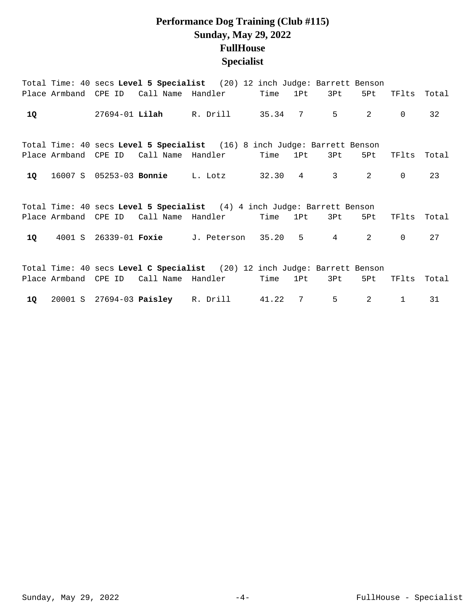## **Performance Dog Training (Club #115) Sunday, May 29, 2022 FullHouse Specialist**

|    |  | Total Time: 40 secs Level 5 Specialist (20) 12 inch Judge: Barrett Benson |          |                 |                                |                |              |       |
|----|--|---------------------------------------------------------------------------|----------|-----------------|--------------------------------|----------------|--------------|-------|
|    |  | Place Armband CPE ID Call Name Handler Time 1Pt                           |          |                 | 3Pt i                          | 5Pt            | TFlts        | Total |
| 1Q |  | 27694-01 Lilah R. Drill 35.34 7                                           |          |                 | $5^{\circ}$                    | 2              | $\mathbf 0$  | 32    |
|    |  | Total Time: 40 secs Level 5 Specialist (16) 8 inch Judge: Barrett Benson  |          |                 |                                |                |              |       |
|    |  | Place Armband  CPE ID   Call Name  Handler                                | Time 1Pt |                 | 3Pt                            | 5Pt            | TFlts        | Total |
| 1Q |  | 16007 S 05253-03 Bonnie L. Lotz                                           | 32.30 4  |                 | $3 \left( \frac{1}{2} \right)$ | 2              | $\mathbf 0$  | 23    |
|    |  | Total Time: 40 secs Level 5 Specialist (4) 4 inch Judge: Barrett Benson   |          |                 |                                |                |              |       |
|    |  | Place Armband CPE ID Call Name Handler                                    | Time     | 1Pt i           | 3Pt i                          | 5Pt            | TFlts        | Total |
| 10 |  | 4001 S 26339-01 Foxie J. Peterson 35.20                                   |          |                 | $5 \qquad \qquad 4$            | 2              | $\Omega$     | 27    |
|    |  | Total Time: 40 secs Level C Specialist (20) 12 inch Judge: Barrett Benson |          |                 |                                |                |              |       |
|    |  | Place Armband CPE ID Call Name Handler                                    | Time     | 1P <sub>t</sub> | 3Pt b                          | 5Pt            | TFlts        | Total |
|    |  | 10 20001 S 27694-03 Paisley R. Drill 41.22 7                              |          |                 | 5                              | $\mathfrak{D}$ | $\mathbf{1}$ | 31    |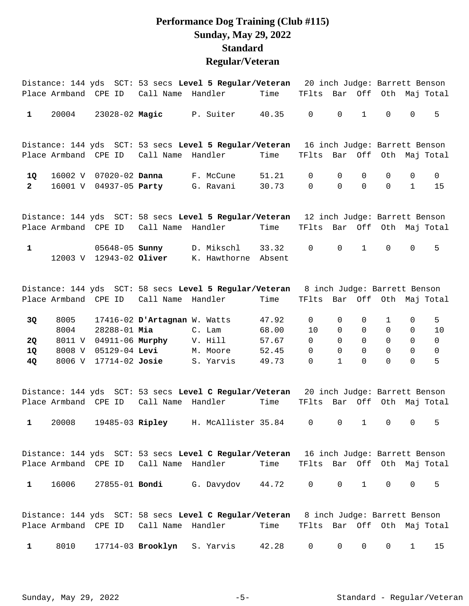#### **Performance Dog Training (Club #115) Sunday, May 29, 2022 Standard Regular/Veteran**

|              | Place Armband CPE ID |                                                  | Call Name                    | Distance: 144 yds SCT: 53 secs Level 5 Regular/Veteran 20 inch Judge: Barrett Benson<br>Handler | Time            | TFlts                       | Bar          | Off          |                               |              | Oth Maj Total                 |
|--------------|----------------------|--------------------------------------------------|------------------------------|-------------------------------------------------------------------------------------------------|-----------------|-----------------------------|--------------|--------------|-------------------------------|--------------|-------------------------------|
| 1            | 20004                | 23028-02 Magic                                   |                              | P. Suiter                                                                                       | 40.35           | $\overline{0}$              | $\mathbf 0$  | $\mathbf{1}$ | $\Omega$                      | $\Omega$     | 5                             |
|              |                      |                                                  |                              | Distance: 144 yds SCT: 53 secs Level 5 Regular/Veteran                                          |                 |                             |              |              | 16 inch Judge: Barrett Benson |              |                               |
|              | Place Armband CPE ID |                                                  | Call Name                    | Handler                                                                                         | Time            | TFlts                       | Bar          | Off          | Oth                           |              | Maj Total                     |
| 1Q           | 16002 V              | 07020-02 Danna                                   |                              | F. McCune                                                                                       | 51.21           | 0                           | $\Omega$     | $\Omega$     | $\Omega$                      | $\Omega$     | $\mathbf 0$                   |
| $\mathbf{2}$ | 16001 V              | 04937-05 Party                                   |                              | G. Ravani                                                                                       | 30.73           | $\mathbf 0$                 | $\Omega$     | $\Omega$     | $\Omega$                      | $\mathbf{1}$ | 15                            |
|              |                      |                                                  |                              | Distance: 144 yds SCT: 58 secs Level 5 Regular/Veteran                                          |                 |                             |              |              |                               |              | 12 inch Judge: Barrett Benson |
|              | Place Armband CPE ID |                                                  | Call Name                    | Handler                                                                                         | Time            | TFlts Bar                   |              | Off          |                               |              | Oth Maj Total                 |
| $\mathbf{1}$ |                      | 05648-05 <b>Sunny</b><br>12003 V 12943-02 Oliver |                              | D. Mikschl<br>K. Hawthorne                                                                      | 33.32<br>Absent | 0                           | $\Omega$     | $\mathbf{1}$ | $\Omega$                      | $\mathbf 0$  | 5                             |
|              |                      |                                                  |                              | Distance: 144 yds SCT: 58 secs Level 5 Regular/Veteran                                          |                 |                             |              |              | 8 inch Judge: Barrett Benson  |              |                               |
|              | Place Armband CPE ID |                                                  | Call Name Handler            |                                                                                                 | Time            | TFlts Bar Off Oth Maj Total |              |              |                               |              |                               |
| 3Q           | 8005                 |                                                  | 17416-02 D'Artagnan W. Watts |                                                                                                 | 47.92           | 0                           | $\Omega$     | 0            | 1                             | 0            | 5                             |
|              | 8004                 | 28288-01 Mia                                     |                              | C. Lam                                                                                          | 68.00           | 10                          | $\Omega$     | $\Omega$     | $\Omega$                      | $\Omega$     | 10                            |
| 2Q           | 8011 V               | 04911-06 Murphy                                  |                              | V. Hill                                                                                         | 57.67           | $\Omega$                    | $\Omega$     | $\Omega$     | $\Omega$                      | $\Omega$     | $\mathsf{O}$                  |
| 1Q           | 8008 V               | 05129-04 Levi                                    |                              | M. Moore                                                                                        | 52.45           | $\Omega$                    | $\Omega$     | $\Omega$     | $\Omega$                      | $\Omega$     | $\mathsf{O}$                  |
| 4Q           | 8006 V               | $17714 - 02$ Josie                               |                              | S. Yarvis                                                                                       | 49.73           | 0                           | $\mathbf{1}$ | $\Omega$     | $\Omega$                      | $\Omega$     | 5                             |
|              |                      |                                                  |                              | Distance: 144 yds SCT: 53 secs Level C Regular/Veteran                                          |                 |                             |              |              | 20 inch Judge: Barrett Benson |              |                               |
|              |                      | Place Armband CPE ID                             | Call Name                    | Handler                                                                                         | Time            | TFlts                       |              | Bar Off      |                               |              | Oth Maj Total                 |
| $\mathbf{1}$ | 20008                |                                                  |                              | 19485-03 Ripley H. McAllister 35.84                                                             |                 | $\mathbf 0$                 | $\mathbf 0$  | $\mathbf{1}$ | $\Omega$                      | $\Omega$     | 5                             |

Distance: 144 yds SCT: 53 secs **Level C Regular/Veteran** 16 inch Judge: Barrett Benson Place Armband CPE ID Call Name Handler Time TFlts Bar Off Oth Maj Total 1 16006 27855-01 **Bondi** G. Davydov 44.72 0 0 1 0 0 5

|              |  | Distance: 144 yds SCT: 58 secs Level C Regular/Veteran 8 inch Judge: Barrett Benson |                                         |  |  |  |
|--------------|--|-------------------------------------------------------------------------------------|-----------------------------------------|--|--|--|
|              |  | Place Armband  CPE ID   Call Name  Handler                                          | Time    TFlts  Bar  Off  Oth  Maj Total |  |  |  |
| $\mathbf{1}$ |  | 8010 17714-03 Brooklyn S. Yarvis                                                    | 42.28 0 0 0 0 1 15                      |  |  |  |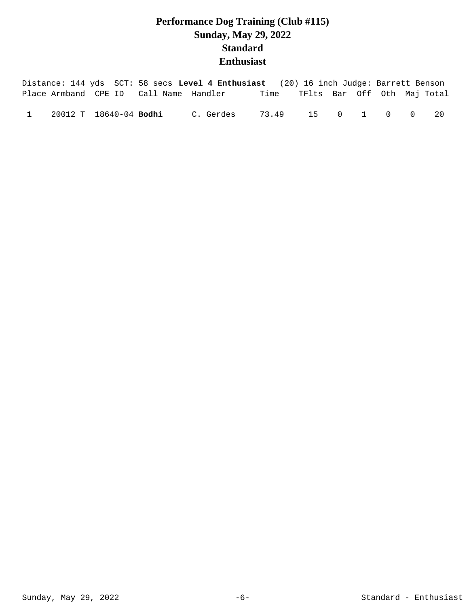# **Performance Dog Training (Club #115) Sunday, May 29, 2022 Standard Enthusiast**

|              |                               |                                        | Distance: 144 yds SCT: 58 secs Level 4 Enthusiast (20) 16 inch Judge: Barrett Benson |                                  |  |  |    |
|--------------|-------------------------------|----------------------------------------|--------------------------------------------------------------------------------------|----------------------------------|--|--|----|
|              |                               | Place Armband CPE ID Call Name Handler |                                                                                      | Time TFlts Bar Off Oth Maj-Total |  |  |    |
| $\mathbf{1}$ | 20012 T 18640-04 <b>Bodhi</b> |                                        | C. Gerdes                                                                            | 73.49 15 0 1 0 0                 |  |  | 20 |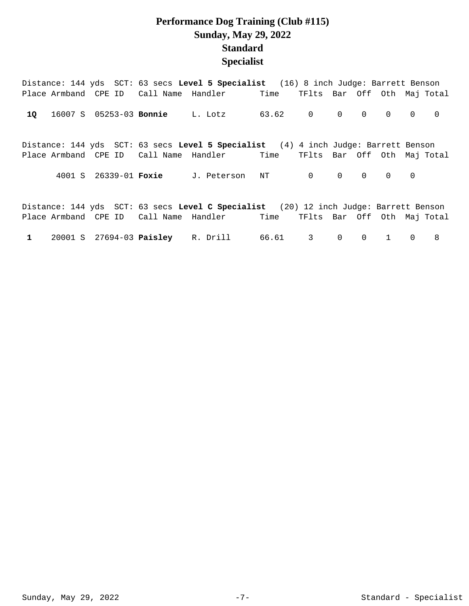## **Performance Dog Training (Club #115) Sunday, May 29, 2022 Standard Specialist**

|  | Distance: 144 yds SCT: 63 secs Level 5 Specialist (16) 8 inch Judge: Barrett Benson                                                                             |  |                   |                                                 |  |  |  |
|--|-----------------------------------------------------------------------------------------------------------------------------------------------------------------|--|-------------------|-------------------------------------------------|--|--|--|
|  | Place Armband CPE ID Call Name Handler Time                                                                                                                     |  |                   | TFlts Bar Off Oth Mai Total                     |  |  |  |
|  | 10 16007 S 05253-03 Bonnie L. Lotz                                                                                                                              |  | 63.62 0 0 0 0 0 0 |                                                 |  |  |  |
|  | Distance: 144 yds SCT: 63 secs Level 5 Specialist (4) 4 inch Judge: Barrett Benson<br>Place Armband CPE ID Call Name Handler Time TFlts Bar Off Oth Maj Total   |  |                   |                                                 |  |  |  |
|  | 4001 S 26339-01 Foxie J. Peterson NT                                                                                                                            |  |                   | $\begin{matrix} 0 & 0 & 0 & 0 & 0 \end{matrix}$ |  |  |  |
|  | Distance: 144 yds SCT: 63 secs Level C Specialist (20) 12 inch Judge: Barrett Benson<br>Place Armband CPE ID Call Name Handler Time TFlts Bar Off Oth Maj Total |  |                   |                                                 |  |  |  |

1 20001 S 27694-03 **Paisley** R. Drill 66.61 3 0 0 1 0 8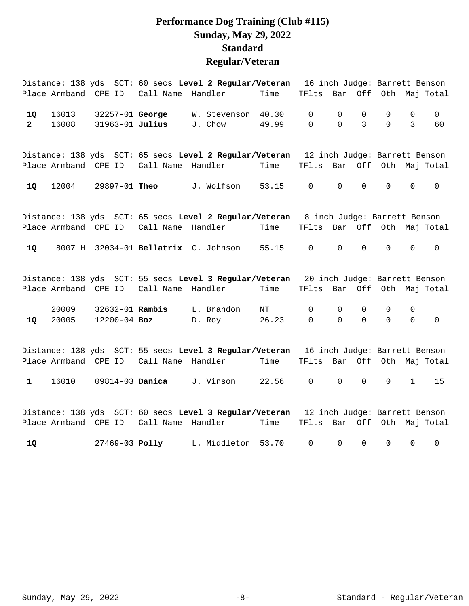## **Performance Dog Training (Club #115) Sunday, May 29, 2022 Standard Regular/Veteran**

|                      |                      |                                    |                        | Distance: 138 yds SCT: 60 secs Level 2 Regular/Veteran                               |                |                             |               |                  |                     |                            | 16 inch Judge: Barrett Benson |
|----------------------|----------------------|------------------------------------|------------------------|--------------------------------------------------------------------------------------|----------------|-----------------------------|---------------|------------------|---------------------|----------------------------|-------------------------------|
|                      | Place Armband        | CPE ID                             | Call Name              | Handler                                                                              | Time           | TFlts                       | Bar           | Off              |                     |                            | Oth Maj Total                 |
| 1Q<br>$\overline{2}$ | 16013<br>16008       | 32257-01 George<br>31963-01 Julius |                        | W. Stevenson<br>J. Chow                                                              | 40.30<br>49.99 | $\mathbf 0$<br>$\mathbf 0$  | 0<br>$\Omega$ | $\mathbf 0$<br>3 | $\Omega$<br>0       | $\Omega$<br>$\mathbf{3}$   | $\overline{0}$<br>60          |
|                      |                      |                                    |                        | Distance: 138 yds SCT: 65 secs Level 2 Regular/Veteran 12 inch Judge: Barrett Benson |                |                             |               |                  |                     |                            |                               |
|                      |                      | Place Armband CPE ID               | Call Name Handler      |                                                                                      | Time           | TFlts Bar Off Oth Maj Total |               |                  |                     |                            |                               |
| 1Q                   | 12004                | 29897-01 Theo                      |                        | J. Wolfson                                                                           | 53.15          | $\mathsf{O}$                | 0             | $\mathbf 0$      | 0                   | $\mathsf{O}$               | $\mathbf 0$                   |
|                      |                      |                                    |                        | Distance: 138 yds SCT: 65 secs Level 2 Regular/Veteran 8 inch Judge: Barrett Benson  |                |                             |               |                  |                     |                            |                               |
|                      |                      | Place Armband CPE ID               | Call Name Handler      |                                                                                      | Time           | TFlts Bar Off Oth Maj Total |               |                  |                     |                            |                               |
| 1Q                   |                      |                                    |                        | 8007 H 32034-01 Bellatrix C. Johnson                                                 | 55.15          | $\mathbf 0$                 | 0             | $\mathbf 0$      | $\mathsf{O}\xspace$ | $\mathsf 0$                | $\mathsf{O}$                  |
|                      |                      |                                    |                        | Distance: 138 yds SCT: 55 secs Level 3 Regular/Veteran 20 inch Judge: Barrett Benson |                |                             |               |                  |                     |                            |                               |
|                      | Place Armband CPE ID |                                    | Call Name              | Handler                                                                              | Time           | TFlts                       | Bar Off       |                  |                     |                            | Oth Maj Total                 |
| 1Q                   | 20009<br>20005       | 32632-01 Rambis<br>12200-04 Boz    |                        | L. Brandon<br>D. Roy                                                                 | ΝT<br>26.23    | $\mathbf 0$<br>$\mathbf 0$  | 0<br>$\Omega$ | 0<br>$\Omega$    | 0<br>0              | $\mathbf 0$<br>$\mathbf 0$ | $\mathsf{O}$                  |
|                      |                      |                                    |                        | Distance: 138 yds SCT: 55 secs Level 3 Regular/Veteran 16 inch Judge: Barrett Benson |                |                             |               |                  |                     |                            |                               |
|                      |                      | Place Armband CPE ID               | Call Name              | Handler                                                                              | Time           | TFlts Bar Off Oth Maj Total |               |                  |                     |                            |                               |
| $\mathbf{1}$         | 16010                |                                    | 09814-03 <b>Danica</b> | J. Vinson                                                                            | 22.56          | 0                           | 0             | 0                | 0                   | $\mathbf{1}$               | 15                            |
|                      |                      |                                    |                        | Distance: 138 yds SCT: 60 secs Level 3 Regular/Veteran 12 inch Judge: Barrett Benson |                |                             |               |                  |                     |                            |                               |
|                      |                      | Place Armband CPE ID               | Call Name              | Handler                                                                              | Time           | TFlts                       |               |                  |                     |                            | Bar Off Oth Maj Total         |
| 1Q                   |                      | 27469-03 Polly                     |                        | L. Middleton                                                                         | 53.70          | $\mathbf 0$                 | 0             | 0                | 0                   | 0                          | 0                             |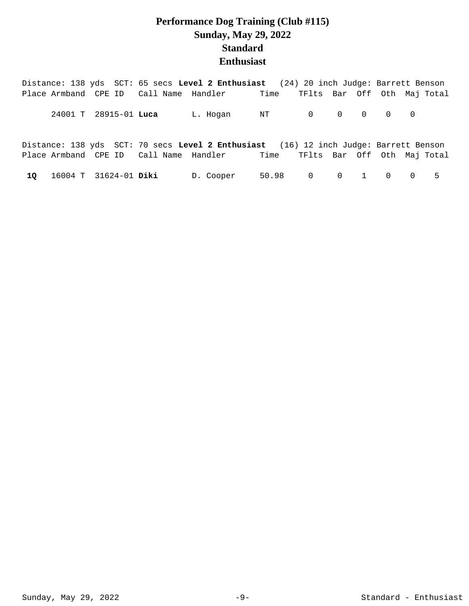# **Performance Dog Training (Club #115) Sunday, May 29, 2022 Standard Enthusiast**

|  |                          | Distance: 138 yds SCT: 65 secs Level 2 Enthusiast (24) 20 inch Judge: Barrett Benson |  |  |                   |
|--|--------------------------|--------------------------------------------------------------------------------------|--|--|-------------------|
|  |                          | Place Armband CPE ID Call Name Handler Time TFlts Bar Off Oth Maj Total              |  |  |                   |
|  | 24001 T 28915-01 Luca    | L. Hogan NT 0 0 0 0 0                                                                |  |  |                   |
|  |                          | Distance: 138 yds SCT: 70 secs Level 2 Enthusiast (16) 12 inch Judge: Barrett Benson |  |  |                   |
|  |                          | Place Armband CPE ID Call Name Handler Time TFlts Bar Off Oth Maj Total              |  |  |                   |
|  | 10 16004 T 31624-01 Diki | D. Cooper                                                                            |  |  | 50.98 0 0 1 0 0 5 |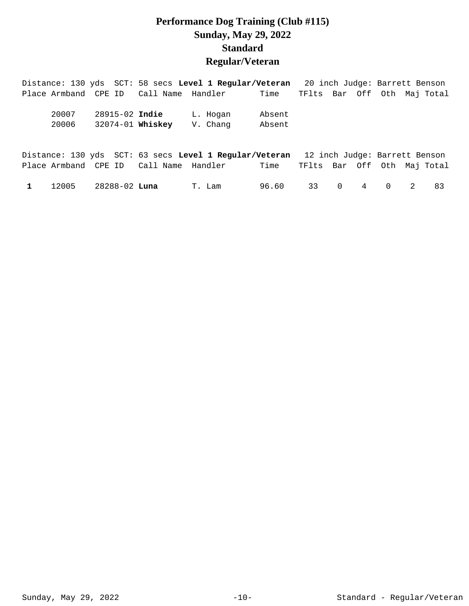## **Performance Dog Training (Club #115) Sunday, May 29, 2022 Standard Regular/Veteran**

| Distance: 130 yds SCT: 58 secs Level 1 Regular/Veteran                                           |                                    |                      |                  |  | 20 inch Judge: Barrett Benson                                |  |
|--------------------------------------------------------------------------------------------------|------------------------------------|----------------------|------------------|--|--------------------------------------------------------------|--|
| Place Armband CPE ID Call Name Handler                                                           |                                    |                      | Time             |  | TFlts Bar Off Oth Maj Total                                  |  |
| 20007<br>20006                                                                                   | 28915-02 Indie<br>32074-01 Whiskey | L. Hogan<br>V. Chang | Absent<br>Absent |  |                                                              |  |
| Distance: 130 yds SCT: 63 secs Level 1 Regular/Veteran<br>Place Armband CPE ID Call Name Handler |                                    |                      | Time             |  | 12 inch Judge: Barrett Benson<br>TFlts Bar Off Oth Maj Total |  |

|  | 1 12005 28288-02 <b>Luna</b> | T.Lam 96.60 33 0 4 0 2 83 |  |  |  |  |
|--|------------------------------|---------------------------|--|--|--|--|
|  |                              |                           |  |  |  |  |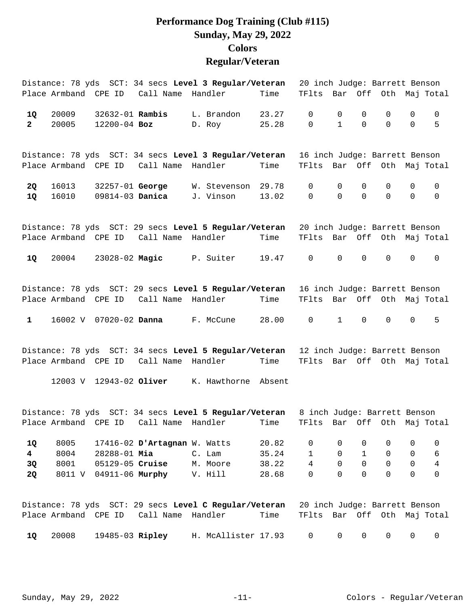#### **Performance Dog Training (Club #115) Sunday, May 29, 2022 Colors Regular/Veteran**

|              |                      |                        |                                        | Distance: 78 yds SCT: 34 secs Level 3 Regular/Veteran                               |       | 20 inch Judge: Barrett Benson |              |                |                     |             |                |
|--------------|----------------------|------------------------|----------------------------------------|-------------------------------------------------------------------------------------|-------|-------------------------------|--------------|----------------|---------------------|-------------|----------------|
|              | Place Armband CPE ID |                        | Call Name                              | Handler                                                                             | Time  | TFlts Bar Off Oth Maj Total   |              |                |                     |             |                |
| 1Q           | 20009                | 32632-01 <b>Rambis</b> |                                        | L. Brandon                                                                          | 23.27 | $\mathbf 0$                   | 0            | 0              | 0                   | 0           | 0              |
| $\mathbf{2}$ | 20005                | $12200 - 04$ Boz       |                                        | D. Roy                                                                              | 25.28 | $\mathbf 0$                   | $\mathbf{1}$ | $\Omega$       | $\mathbf 0$         | $\mathbf 0$ | 5              |
|              |                      |                        |                                        | Distance: 78 yds SCT: 34 secs Level 3 Regular/Veteran                               |       | 16 inch Judge: Barrett Benson |              |                |                     |             |                |
|              |                      |                        |                                        | Place Armband CPE ID Call Name Handler                                              | Time  | TFlts Bar Off Oth Maj Total   |              |                |                     |             |                |
| 2Q           | 16013                |                        | 32257-01 George                        | W. Stevenson                                                                        | 29.78 | 0                             | 0            | 0              | 0                   | 0           | 0              |
| 1Q           | 16010                |                        | 09814-03 <b>Danica</b>                 | J. Vinson                                                                           | 13.02 | $\Omega$                      | $\Omega$     | $\Omega$       | $\Omega$            | $\mathbf 0$ | $\mathbf 0$    |
|              |                      |                        |                                        | Distance: 78 yds SCT: 29 secs Level 5 Regular/Veteran 20 inch Judge: Barrett Benson |       |                               |              |                |                     |             |                |
|              |                      |                        |                                        | Place Armband CPE ID Call Name Handler                                              | Time  | TFlts Bar Off Oth Maj Total   |              |                |                     |             |                |
|              |                      |                        |                                        |                                                                                     |       |                               |              |                |                     |             |                |
| 1Q           | 20004                |                        |                                        | 23028-02 Magic P. Suiter                                                            | 19.47 | $\mathsf{O}$                  | $\mathbf 0$  | $\mathbf 0$    | $\mathbf 0$         | $\mathbf 0$ | $\mathbf 0$    |
|              |                      |                        |                                        | Distance: 78 yds SCT: 29 secs Level 5 Regular/Veteran 16 inch Judge: Barrett Benson |       |                               |              |                |                     |             |                |
|              |                      |                        | Place Armband CPE ID Call Name Handler |                                                                                     | Time  | TFlts Bar Off Oth Maj Total   |              |                |                     |             |                |
| $\mathbf{1}$ |                      | 16002 V 07020-02 Danna |                                        | F. McCune                                                                           | 28.00 | 0                             | $\mathbf{1}$ | $\mathbf 0$    | $\mathbf 0$         | $\mathbf 0$ | 5              |
|              |                      |                        |                                        | Distance: 78 yds SCT: 34 secs Level 5 Regular/Veteran                               |       | 12 inch Judge: Barrett Benson |              |                |                     |             |                |
|              |                      |                        |                                        | Place Armband CPE ID Call Name Handler                                              | Time  | TFlts Bar Off Oth Maj Total   |              |                |                     |             |                |
|              |                      |                        | 12003 V 12943-02 Oliver                | K. Hawthorne Absent                                                                 |       |                               |              |                |                     |             |                |
|              |                      |                        |                                        | Distance: 78 yds SCT: 34 secs Level 5 Regular/Veteran 8 inch Judge: Barrett Benson  |       |                               |              |                |                     |             |                |
|              |                      |                        |                                        | Place Armband CPE ID Call Name Handler Time TFlts Bar Off Oth Maj Total             |       |                               |              |                |                     |             |                |
| 1Q           | 8005                 |                        | 17416-02 D'Artagnan W. Watts           |                                                                                     | 20.82 | 0                             | 0            | 0              | 0                   | 0           | 0              |
| 4            | 8004                 | 28288-01 Mia           |                                        | C. Lam                                                                              | 35.24 | $\mathbf{1}$                  | 0            | $\mathbf{1}$   | 0                   | 0           | 6              |
| 3Q           | 8001                 | 05129-05 Cruise        |                                        | M. Moore                                                                            | 38.22 | $\overline{4}$                | 0            | $\overline{0}$ | $\mathsf{O}\xspace$ | $\mathbf 0$ | $\overline{4}$ |
| <b>2Q</b>    |                      |                        | 8011 V 04911-06 Murphy                 | V. Hill                                                                             | 28.68 | $\mathsf{O}$                  | $\Omega$     | $\Omega$       | $\mathbf 0$         | $\mathbf 0$ | $\mathbf 0$    |
|              |                      |                        |                                        | Distance: 78 yds SCT: 29 secs Level C Regular/Veteran                               |       | 20 inch Judge: Barrett Benson |              |                |                     |             |                |
|              | Place Armband CPE ID |                        | Call Name                              | Handler                                                                             | Time  | TFlts                         | Bar          | Off            |                     |             | Oth Maj Total  |

20008 19485-03 H. McAllister 17.93 0 0 0 0 0 0 **1Q Ripley**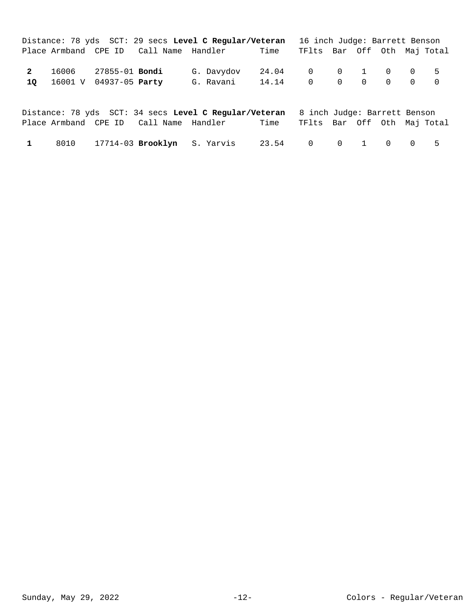|              | Distance: 78 yds SCT: 29 secs Level C Regular/Veteran |  |                                             | 16 inch Judge: Barrett Benson |                             |  |  |  |
|--------------|-------------------------------------------------------|--|---------------------------------------------|-------------------------------|-----------------------------|--|--|--|
|              |                                                       |  | Place Armband CPE ID Call Name Handler Time |                               | TFlts Bar Off Oth Maj Total |  |  |  |
| $\mathbf{2}$ | 10 16001 V 04937-05 Party                             |  | G. Davydov 24.04 0 0 1 0 0 5<br>G. Ravani   | 14.14 0 0 0 0 0 0             |                             |  |  |  |

|  |  | Distance: 78 yds SCT: 34 secs Level C Regular/Veteran 8 inch Judge: Barrett Benson |                                  |  |  |  |
|--|--|------------------------------------------------------------------------------------|----------------------------------|--|--|--|
|  |  |                                                                                    | Time TFlts Bar Off Oth Maj Total |  |  |  |
|  |  | 8010 17714-03 <b>Brooklyn</b> S. Yarvis                                            | 23.54 0 0 1 0 0 5                |  |  |  |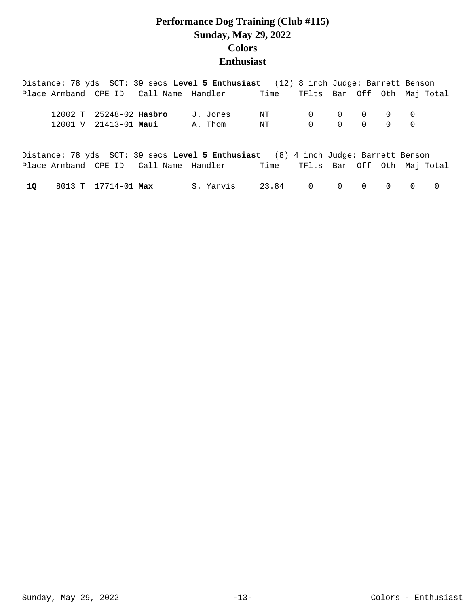## **Performance Dog Training (Club #115) Sunday, May 29, 2022 Colors Enthusiast**

|    |                         | Distance: 78 yds SCT: 39 secs Level 5 Enthusiast (12) 8 inch Judge: Barrett Benson |           |               |                                                 |  |          |                |
|----|-------------------------|------------------------------------------------------------------------------------|-----------|---------------|-------------------------------------------------|--|----------|----------------|
|    |                         | Place Armband CPE ID Call Name Handler                                             |           | Time          | TFlts Bar Off Oth Maj Total                     |  |          |                |
|    |                         |                                                                                    |           |               |                                                 |  |          |                |
|    | 12002 T 25248-02 Hasbro |                                                                                    | J. Jones  | NT            | $\begin{matrix} 0 & 0 & 0 & 0 & 0 \end{matrix}$ |  |          |                |
|    | 12001 V 21413-01 Maui   |                                                                                    | A. Thom   | NT 0 0 0 0 0  |                                                 |  |          |                |
|    |                         |                                                                                    |           |               |                                                 |  |          |                |
|    |                         |                                                                                    |           |               |                                                 |  |          |                |
|    |                         | Distance: 78 yds SCT: 39 secs Level 5 Enthusiast (8) 4 inch Judge: Barrett Benson  |           |               |                                                 |  |          |                |
|    |                         | Place Armband CPE ID Call Name Handler Time TFlts Bar Off Oth Maj Total            |           |               |                                                 |  |          |                |
|    |                         |                                                                                    | S. Yarvis |               |                                                 |  | $\Omega$ | $\overline{0}$ |
| 10 | 8013 T 17714-01 Max     |                                                                                    |           | 23.84 0 0 0 0 |                                                 |  |          |                |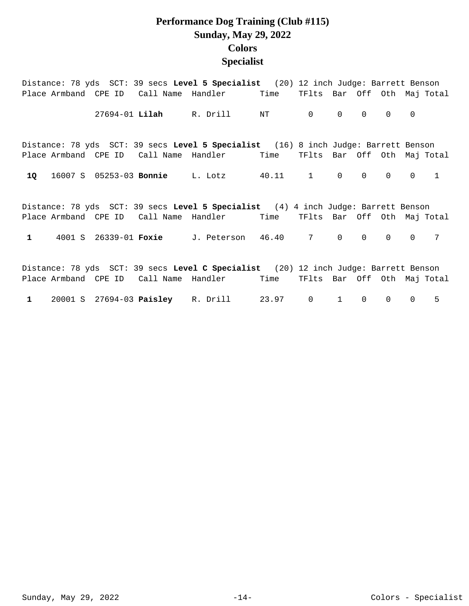## **Performance Dog Training (Club #115) Sunday, May 29, 2022 Colors Specialist**

|                                                                                     |                      |  |  | Distance: 78 yds SCT: 39 secs Level 5 Specialist (20) 12 inch Judge: Barrett Benson |  |                             |                |                   |                |                |              |  |
|-------------------------------------------------------------------------------------|----------------------|--|--|-------------------------------------------------------------------------------------|--|-----------------------------|----------------|-------------------|----------------|----------------|--------------|--|
|                                                                                     | Place Armband CPE ID |  |  | Call Name Handler Time                                                              |  | TFlts Bar Off Oth Maj Total |                |                   |                |                |              |  |
|                                                                                     |                      |  |  | 27694-01 Lilah R. Drill NT                                                          |  | $\mathsf{O}$                | 0              | $0 \qquad \qquad$ | 0              | $\Omega$       |              |  |
|                                                                                     |                      |  |  | Distance: 78 yds SCT: 39 secs Level 5 Specialist (16) 8 inch Judge: Barrett Benson  |  |                             |                |                   |                |                |              |  |
|                                                                                     |                      |  |  | Place Armband CPE ID Call Name Handler Time                                         |  | TFlts Bar Off Oth Maj Total |                |                   |                |                |              |  |
| 1Q                                                                                  |                      |  |  | 16007 S 05253-03 Bonnie L. Lotz 40.11                                               |  | $1 \qquad \qquad$           | $\overline{0}$ | $\mathsf{O}$      | $\overline{0}$ | $\overline{0}$ | $\mathbf{1}$ |  |
|                                                                                     |                      |  |  | Distance: 78 yds SCT: 39 secs Level 5 Specialist (4) 4 inch Judge: Barrett Benson   |  |                             |                |                   |                |                |              |  |
|                                                                                     |                      |  |  | Place Armband CPE ID Call Name Handler Time                                         |  | TFlts Bar Off Oth Maj Total |                |                   |                |                |              |  |
| $\mathbf{1}$                                                                        |                      |  |  | 4001 S 26339-01 Foxie J. Peterson 46.40                                             |  | $7$ 0                       |                | 0                 | $\Omega$       | $\Omega$       | 7            |  |
| Distance: 78 yds SCT: 39 secs Level C Specialist (20) 12 inch Judge: Barrett Benson |                      |  |  |                                                                                     |  |                             |                |                   |                |                |              |  |
|                                                                                     |                      |  |  | Place Armband CPE ID Call Name Handler Time                                         |  | TFlts Bar Off Oth Maj Total |                |                   |                |                |              |  |
|                                                                                     |                      |  |  | 1 20001 S 27694-03 Paisley R. Drill 23.97                                           |  | $\mathsf{O}$                | $\mathbf{1}$   | $\mathbf 0$       | $\Omega$       | $\overline{0}$ | 5.           |  |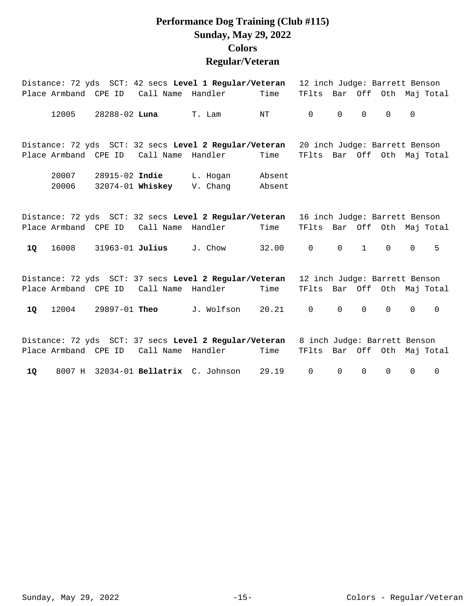## **Performance Dog Training (Club #115) Sunday, May 29, 2022 Colors Regular/Veteran**

|    | Distance: 72 yds SCT: 42 secs Level 1 Regular/Veteran                              |                                                       |                                        |                                                                                                |                  |                               | 12 inch Judge: Barrett Benson |              |              |              |             |  |  |
|----|------------------------------------------------------------------------------------|-------------------------------------------------------|----------------------------------------|------------------------------------------------------------------------------------------------|------------------|-------------------------------|-------------------------------|--------------|--------------|--------------|-------------|--|--|
|    | Place Armband CPE ID                                                               |                                                       | Call Name Handler                      |                                                                                                | Time             | TFlts Bar Off Oth Maj Total   |                               |              |              |              |             |  |  |
|    | 12005                                                                              |                                                       | 28288-02 <b>Luna</b>                   | T. Lam                                                                                         | NT               | $\mathbf 0$                   | $\mathbf 0$                   | $\mathbf 0$  | $\Omega$     | $\mathbf 0$  |             |  |  |
|    |                                                                                    |                                                       | Place Armband CPE ID Call Name         | Distance: 72 yds SCT: 32 secs Level 2 Regular/Veteran 20 inch Judge: Barrett Benson<br>Handler | Time             | TFlts Bar Off Oth Maj Total   |                               |              |              |              |             |  |  |
|    | 20007<br>20006                                                                     | 28915-02 Indie                                        | 32074-01 Whiskey                       | L. Hogan<br>V. Chang                                                                           | Absent<br>Absent |                               |                               |              |              |              |             |  |  |
|    |                                                                                    | Distance: 72 yds SCT: 32 secs Level 2 Regular/Veteran |                                        | 16 inch Judge: Barrett Benson                                                                  |                  |                               |                               |              |              |              |             |  |  |
|    |                                                                                    |                                                       | Place Armband CPE ID Call Name Handler |                                                                                                | Time             | TFlts Bar Off Oth Maj Total   |                               |              |              |              |             |  |  |
| 1Q | 16008                                                                              | 31963-01 Julius                                       |                                        | J. Chow                                                                                        | 32.00            | $\mathbf 0$                   | $\mathsf{O}$                  | $\mathbf{1}$ | $\mathsf{O}$ | $\mathsf{O}$ | 5           |  |  |
|    |                                                                                    |                                                       |                                        | Distance: 72 yds SCT: 37 secs Level 2 Regular/Veteran                                          |                  | 12 inch Judge: Barrett Benson |                               |              |              |              |             |  |  |
|    |                                                                                    |                                                       |                                        | Place Armband CPE ID Call Name Handler                                                         | Time             | TFlts Bar Off Oth Maj Total   |                               |              |              |              |             |  |  |
| 1Q | 12004                                                                              | 29897-01 Theo                                         |                                        | J. Wolfson                                                                                     | 20.21            | $\mathbf 0$                   | $\Omega$                      | $\Omega$     | $\Omega$     | $\mathsf{O}$ | $\Omega$    |  |  |
|    | Distance: 72 yds SCT: 37 secs Level 2 Regular/Veteran 8 inch Judge: Barrett Benson |                                                       |                                        |                                                                                                |                  |                               |                               |              |              |              |             |  |  |
|    | Place Armband CPE ID                                                               |                                                       | Call Name Handler                      |                                                                                                | Time             | TFlts Bar Off Oth Maj Total   |                               |              |              |              |             |  |  |
| 10 |                                                                                    |                                                       |                                        | 8007 H 32034-01 Bellatrix C. Johnson                                                           | 29.19            | $\mathbf 0$                   | 0                             | $\mathbf 0$  | $\mathbf 0$  | $\mathbf 0$  | $\mathbf 0$ |  |  |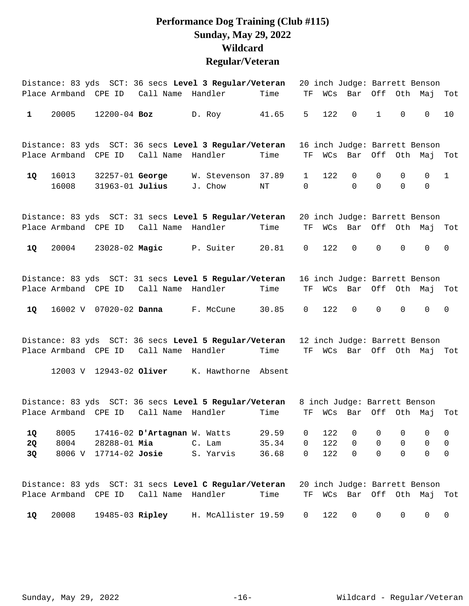## **Performance Dog Training (Club #115) Sunday, May 29, 2022 Wildcard Regular/Veteran**

|              |                      |                                    |                                        | Distance: 83 yds SCT: 36 secs Level 3 Regular/Veteran                              |           |                |     | 20 inch Judge: Barrett Benson |                         |                         |                         |              |
|--------------|----------------------|------------------------------------|----------------------------------------|------------------------------------------------------------------------------------|-----------|----------------|-----|-------------------------------|-------------------------|-------------------------|-------------------------|--------------|
|              | Place Armband CPE ID |                                    | Call Name Handler                      |                                                                                    | Time      | ΤF             | WCs | Bar                           |                         | Off Oth Maj             |                         | Tot          |
| $\mathbf{1}$ | 20005                | $12200 - 04$ Boz                   |                                        | D. Roy                                                                             | 41.65     | 5              | 122 | $\mathbf 0$                   | $\mathbf{1}$            | $\mathbf 0$             | $\Omega$                | 10           |
|              |                      |                                    |                                        | Distance: 83 yds SCT: 36 secs Level 3 Regular/Veteran                              |           |                |     | 16 inch Judge: Barrett Benson |                         |                         |                         |              |
|              | Place Armband CPE ID |                                    | Call Name                              | Handler                                                                            | Time      | ΤF             | WCs | Bar                           | Off                     |                         | Oth Maj                 | Tot          |
| 1Q           | 16013<br>16008       | 32257-01 George<br>31963-01 Julius |                                        | W. Stevenson 37.89<br>J. Chow                                                      | $\rm{NT}$ | 1<br>$\Omega$  | 122 | $\mathsf{O}$<br>$\Omega$      | $\mathbf 0$<br>$\Omega$ | $\mathbf 0$<br>$\Omega$ | $\mathbf 0$<br>$\Omega$ | $\mathbf{1}$ |
|              |                      |                                    |                                        | Distance: 83 yds SCT: 31 secs Level 5 Regular/Veteran                              |           |                |     | 20 inch Judge: Barrett Benson |                         |                         |                         |              |
|              | Place Armband CPE ID |                                    | Call Name Handler                      |                                                                                    | Time      | ΤF             | WCs | Bar                           | Off                     | Oth Maj                 |                         | Tot          |
| 1Q           | 20004                |                                    | 23028-02 Magic P. Suiter               |                                                                                    | 20.81     | $\mathsf{O}$   | 122 | $\mathbf 0$                   | $\mathbf 0$             | 0                       | $\mathbf 0$             | $\mathbf 0$  |
|              |                      |                                    |                                        | Distance: 83 yds SCT: 31 secs Level 5 Regular/Veteran                              |           |                |     | 16 inch Judge: Barrett Benson |                         |                         |                         |              |
|              |                      |                                    | Place Armband CPE ID Call Name Handler |                                                                                    | Time      | TF.            |     | WCs Bar                       |                         | Off Oth Maj             |                         | Tot          |
| 1Q           |                      |                                    | 16002 V 07020-02 Danna F. McCune       |                                                                                    | 30.85     | $\mathsf{O}$   | 122 | $\mathsf{O}$                  | $\mathbf 0$             | $\mathsf{O}$            | $\mathsf{O}$            | 0            |
|              |                      |                                    |                                        | Distance: 83 yds SCT: 36 secs Level 5 Regular/Veteran                              |           |                |     | 12 inch Judge: Barrett Benson |                         |                         |                         |              |
|              | Place Armband CPE ID |                                    | Call Name Handler                      |                                                                                    | Time      | TF             |     | WCs Bar Off Oth Maj Tot       |                         |                         |                         |              |
|              |                      |                                    | 12003 V 12943-02 Oliver                | K. Hawthorne Absent                                                                |           |                |     |                               |                         |                         |                         |              |
|              |                      |                                    |                                        | Distance: 83 yds SCT: 36 secs Level 5 Regular/Veteran 8 inch Judge: Barrett Benson |           |                |     |                               |                         |                         |                         |              |
|              | Place Armband CPE ID |                                    | Call Name Handler                      |                                                                                    | Time      | TF             | WCs | Bar                           | Off                     | Oth                     | Мај                     | Tot          |
| 1Q           | 8005                 |                                    | 17416-02 D'Artagnan W. Watts           |                                                                                    | 29.59     | 0              | 122 | $\mathsf{O}$                  | 0                       | 0                       | 0                       | 0            |
| 2Q           | 8004                 | 28288-01 Mia                       |                                        | C. Lam                                                                             | 35.34     | 0              | 122 | $\mathbf 0$                   | $\mathbf 0$             | $\mathbf 0$             | $\mathbf 0$             | $\mathsf 0$  |
| 3Q           | 8006 V               | 17714-02 Josie                     |                                        | S. Yarvis                                                                          | 36.68     | $\mathbf 0$    | 122 | $\mathsf{O}$                  | $\Omega$                | $\Omega$                | $\mathbf 0$             | $\mathbf 0$  |
|              |                      |                                    |                                        | Distance: 83 yds SCT: 31 secs Level C Regular/Veteran                              |           |                |     | 20 inch Judge: Barrett Benson |                         |                         |                         |              |
|              | Place Armband CPE ID |                                    | Call Name Handler                      |                                                                                    | Time      | TF             |     | WCs Bar Off Oth Maj           |                         |                         |                         | Tot          |
| 1Q           | 20008                |                                    |                                        | 19485-03 Ripley H. McAllister 19.59                                                |           | $\overline{0}$ | 122 | 0                             | $\overline{0}$          | $\mathsf{O}$            | $\mathsf{O}$            | $\mathsf{O}$ |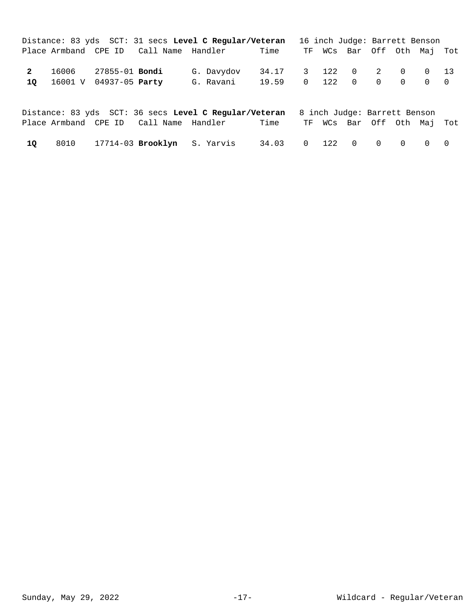|              |                           |                                        | Distance: 83 yds SCT: 31 secs Level C Reqular/Veteran 16 inch Judge: Barrett Benson |                                                 |  |                            |  |  |
|--------------|---------------------------|----------------------------------------|-------------------------------------------------------------------------------------|-------------------------------------------------|--|----------------------------|--|--|
|              |                           | Place Armband CPE ID Call Name Handler |                                                                                     | Time                                            |  | TF WCs Bar Off Oth Maj Tot |  |  |
| $\mathbf{2}$ | 10 16001 V 04937-05 Party |                                        | G. Davydov<br>G. Ravani                                                             | 34.17 3 122 0 2 0 0 13<br>19.59 0 122 0 0 0 0 0 |  |                            |  |  |

|    |  |                                        | Distance: 83 yds SCT: 36 secs Level C Regular/Veteran 8 inch Judge: Barrett Benson |                       |  |                            |  |  |
|----|--|----------------------------------------|------------------------------------------------------------------------------------|-----------------------|--|----------------------------|--|--|
|    |  | Place Armband CPE ID Call Name Handler |                                                                                    | Time                  |  | TF WCs Bar Off Oth Maj Tot |  |  |
| 10 |  |                                        | 8010 17714-03 <b>Brooklyn</b> S. Yarvis                                            | 34.03 0 122 0 0 0 0 0 |  |                            |  |  |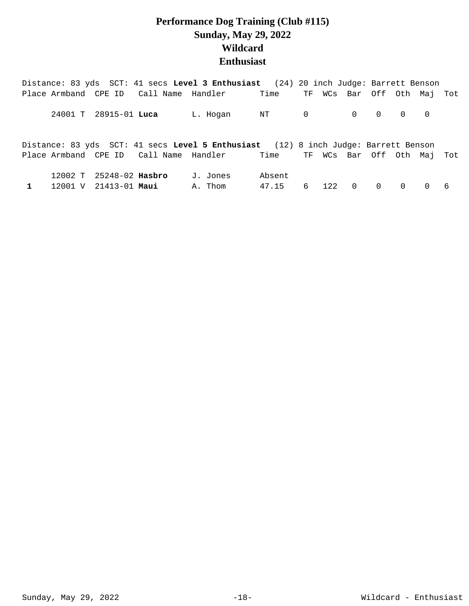## **Performance Dog Training (Club #115) Sunday, May 29, 2022 Wildcard Enthusiast**

|                         |  | Distance: 83 yds SCT: 41 secs Level 3 Enthusiast (24) 20 inch Judge: Barrett Benson |        |   |                                     |           |                                 |          |    |
|-------------------------|--|-------------------------------------------------------------------------------------|--------|---|-------------------------------------|-----------|---------------------------------|----------|----|
|                         |  | Place Armband CPE ID Call Name Handler Time                                         |        |   | TF WCs Bar Off Oth Maj Tot          |           |                                 |          |    |
| 24001 T 28915-01 Luca   |  | L. Hoqan                                                                            | NT 0   |   | $\begin{matrix} 0 & 0 \end{matrix}$ |           | $\begin{matrix}0&0\end{matrix}$ |          |    |
|                         |  | Distance: 83 yds SCT: 41 secs Level 5 Enthusiast (12) 8 inch Judge: Barrett Benson  |        |   |                                     |           |                                 |          |    |
|                         |  | Place Armband CPE ID Call Name Handler Time TF WCs Bar Off Oth Maj Tot              |        |   |                                     |           |                                 |          |    |
| 12002 T 25248-02 Hasbro |  | J. Jones                                                                            | Absent |   |                                     |           |                                 |          |    |
| 12001 V 21413-01 Maui   |  | A. Thom                                                                             | 47.15  | 6 | $\overline{0}$<br>12.2              | $\bigcap$ | $\bigcap$                       | $\Omega$ | -6 |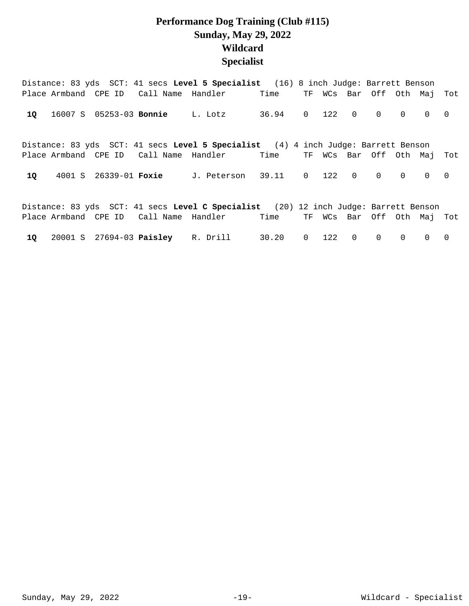## **Performance Dog Training (Club #115) Sunday, May 29, 2022 Wildcard Specialist**

|    |  |                                        | Distance: 83 yds SCT: 41 secs Level 5 Specialist (16) 8 inch Judge: Barrett Benson  |                 |                |            |                |                            |           |          |                |
|----|--|----------------------------------------|-------------------------------------------------------------------------------------|-----------------|----------------|------------|----------------|----------------------------|-----------|----------|----------------|
|    |  |                                        | Place Armband CPE ID Call Name Handler                                              | Time            |                |            |                | TF WCs Bar Off Oth Maj Tot |           |          |                |
| 10 |  | 16007 S 05253-03 <b>Bonnie</b> L. Lotz |                                                                                     | 36.94 0 122 0 0 |                |            |                |                            | $\bigcap$ | $\Omega$ | $\overline{0}$ |
|    |  |                                        | Distance: 83 yds SCT: 41 secs Level 5 Specialist (4) 4 inch Judge: Barrett Benson   |                 |                |            |                |                            |           |          |                |
|    |  |                                        | Place Armband CPE ID Call Name Handler                                              | Time            |                |            |                | TF WCs Bar Off Oth Mai     |           |          | Tot            |
| 10 |  |                                        | 4001 S 26339-01 Foxie J. Peterson 39.11                                             |                 |                | $0 \t 122$ | $\overline{0}$ | $\Omega$                   | $\Omega$  | $\Omega$ | $\Omega$       |
|    |  |                                        | Distance: 83 yds SCT: 41 secs Level C Specialist (20) 12 inch Judge: Barrett Benson |                 |                |            |                |                            |           |          |                |
|    |  |                                        | Place Armband CPE ID Call Name Handler                                              | Time            |                |            |                | TF WCs Bar Off Oth Maj Tot |           |          |                |
| 1Q |  |                                        | 20001 S 27694-03 Paisley R. Drill                                                   | 30.20           | $\overline{0}$ | 122        | $\overline{0}$ | $\Omega$                   | $\Omega$  | $\Omega$ | $\Omega$       |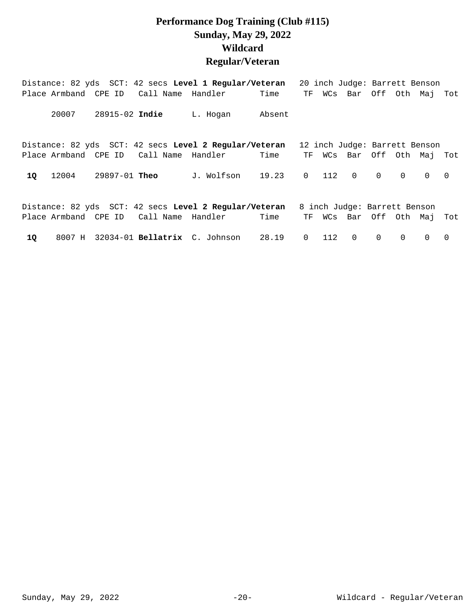## **Performance Dog Training (Club #115) Sunday, May 29, 2022 Wildcard Regular/Veteran**

|    |                      |                      |                                        | Distance: 82 yds SCT: 42 secs Level 1 Regular/Veteran |        |              |         |                |                              |          | 20 inch Judge: Barrett Benson |     |
|----|----------------------|----------------------|----------------------------------------|-------------------------------------------------------|--------|--------------|---------|----------------|------------------------------|----------|-------------------------------|-----|
|    | Place Armband CPE ID |                      | Call Name Handler                      |                                                       | Time   | TF           |         |                |                              |          | WCs Bar Off Oth Maj Tot       |     |
|    | 20007                | 28915-02 Indie       |                                        | L. Hogan                                              | Absent |              |         |                |                              |          |                               |     |
|    |                      |                      |                                        | Distance: 82 yds SCT: 42 secs Level 2 Regular/Veteran |        |              |         |                |                              |          | 12 inch Judge: Barrett Benson |     |
|    |                      |                      | Place Armband CPE ID Call Name Handler |                                                       | Time   | TF           |         |                |                              |          | WCs Bar Off Oth Maj Tot       |     |
| 10 | 12004                | 29897-01 <b>Theo</b> |                                        | J. Wolfson                                            | 19.23  |              | $0$ 112 | $\overline{0}$ | $\Omega$                     | $\Omega$ | $\Omega$                      | - 0 |
|    |                      |                      |                                        | Distance: 82 yds SCT: 42 secs Level 2 Regular/Veteran |        |              |         |                | 8 inch Judge: Barrett Benson |          |                               |     |
|    |                      |                      | Place Armband CPE ID Call Name Handler |                                                       | Time   |              |         |                |                              |          | TF WCs Bar Off Oth Maj Tot    |     |
| 10 | 8007 H               |                      |                                        | 32034-01 Bellatrix C. Johnson                         | 28.19  | $\mathsf{O}$ | 112     | $\overline{0}$ | $\mathbf 0$                  | $\Omega$ | $\Omega$                      | 0   |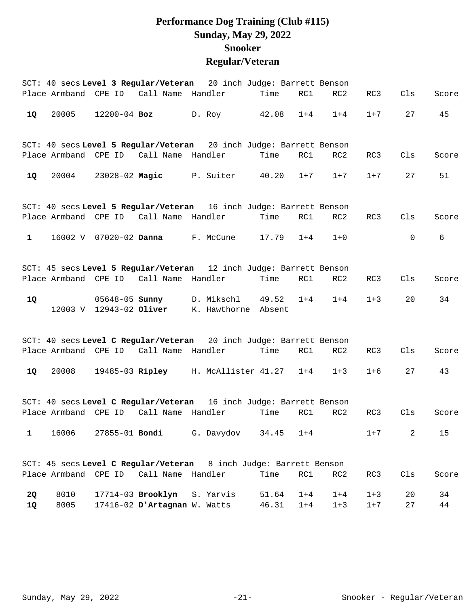## **Performance Dog Training (Club #115) Sunday, May 29, 2022 Snooker Regular/Veteran**

|              |              |                      |                                                   | SCT: 40 secs Level 3 Regular/Veteran 20 inch Judge: Barrett Benson       |                |                    |                    |                    |          |          |
|--------------|--------------|----------------------|---------------------------------------------------|--------------------------------------------------------------------------|----------------|--------------------|--------------------|--------------------|----------|----------|
|              |              |                      | Place Armband CPE ID Call Name Handler            |                                                                          | Time           | RC1                | RC2                | RC3                | Cls      | Score    |
| 1Q           | 20005        | $12200 - 04$ Boz     |                                                   | D. Roy                                                                   | 42.08          | $1 + 4$            | $1 + 4$            | $1 + 7$            | 27       | 45       |
|              |              |                      |                                                   | SCT: 40 secs Level 5 Regular/Veteran 20 inch Judge: Barrett Benson       |                |                    |                    |                    |          |          |
|              |              |                      | Place Armband CPE ID Call Name Handler            |                                                                          | Time           | RC1                | RC2                | RC3                | Cls      | Score    |
| 1Q           | 20004        |                      |                                                   | 23028-02 Magic P. Suiter                                                 | 40.20          | $1 + 7$            | $1+7$              | $1 + 7$            | 27       | 51       |
|              |              |                      |                                                   | SCT: 40 secs Level 5 Regular/Veteran 16 inch Judge: Barrett Benson       |                |                    |                    |                    |          |          |
|              |              |                      | Place Armband CPE ID Call Name Handler            |                                                                          | Time           | RC1                | RC2                | RC3                | Cls      | Score    |
| $\mathbf{1}$ |              |                      |                                                   | 16002 V 07020-02 Danna F. McCune                                         | 17.79          | $1 + 4$            | $1 + 0$            |                    | 0        | 6        |
|              |              |                      |                                                   | SCT: 45 secs Level 5 Regular/Veteran 12 inch Judge: Barrett Benson       |                |                    |                    |                    |          |          |
|              |              |                      | Place Armband CPE ID Call Name Handler            |                                                                          | Time           | RC1                | RC2                | RC3                | Cls      | Score    |
| 1Q           |              |                      |                                                   | 05648-05 Sunny D. Mikschl<br>12003 V 12943-02 Oliver K. Hawthorne Absent | 49.52          | $1 + 4$            | $1 + 4$            | $1 + 3$            | 20       | 34       |
|              |              |                      |                                                   | SCT: 40 secs Level C Regular/Veteran 20 inch Judge: Barrett Benson       |                |                    |                    |                    |          |          |
|              |              |                      | Place Armband CPE ID Call Name Handler            |                                                                          | Time           | RC1                | RC2                | RC3                | Cls      | Score    |
| 1Q           | 20008        |                      |                                                   | 19485-03 Ripley H. McAllister 41.27                                      |                | $1+4$              | $1 + 3$            | $1 + 6$            | 27       | 43       |
|              |              |                      |                                                   | SCT: 40 secs Level C Regular/Veteran 16 inch Judge: Barrett Benson       |                |                    |                    |                    |          |          |
|              |              |                      | Place Armband CPE ID Call Name Handler            |                                                                          | Time           | RC1                | RC2                | RC3                | Cls      | Score    |
| 1            | 16006        |                      | 27855-01 <b>Bondi</b>                             | G. Davydov                                                               | 34.45          | $1 + 4$            |                    | $1 + 7$            | 2        | 15       |
|              |              |                      |                                                   | SCT: 45 secs Level C Regular/Veteran 8 inch Judge: Barrett Benson        |                |                    |                    |                    |          |          |
|              |              | Place Armband CPE ID | Call Name Handler                                 |                                                                          | Time           | RC1                | RC2                | RC3                | Cls      | Score    |
| 2Q<br>1Q     | 8010<br>8005 |                      | 17714-03 Brooklyn<br>17416-02 D'Artagnan W. Watts | S. Yarvis                                                                | 51.64<br>46.31 | $1 + 4$<br>$1 + 4$ | $1 + 4$<br>$1 + 3$ | $1 + 3$<br>$1 + 7$ | 20<br>27 | 34<br>44 |
|              |              |                      |                                                   |                                                                          |                |                    |                    |                    |          |          |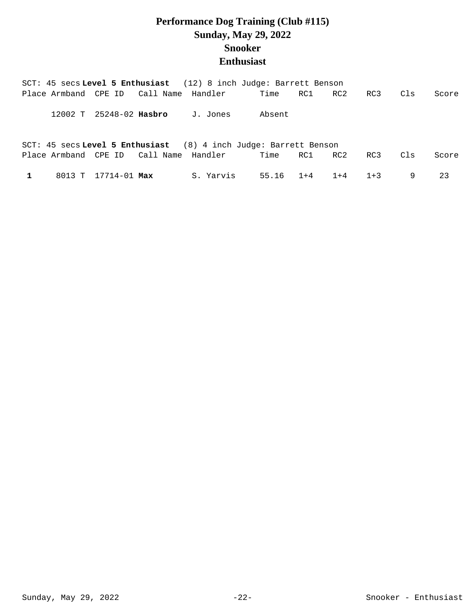## **Performance Dog Training (Club #115) Sunday, May 29, 2022 Snooker Enthusiast**

|  |                     |                                  | SCT: 45 secs Level 5 Enthusiast (12) 8 inch Judge: Barrett Benson  |           |         |         |       |     |       |
|--|---------------------|----------------------------------|--------------------------------------------------------------------|-----------|---------|---------|-------|-----|-------|
|  |                     |                                  | Place Armband CPE ID Call Name Handler                             | Time      | RC1 N   | RC2     | RC3   | Cls | Score |
|  |                     | 12002 T 25248-02 Hasbro J. Jones |                                                                    | Absent    |         |         |       |     |       |
|  |                     |                                  | SCT: 45 secs Level 5 Enthusiast $(8)$ 4 inch Judge: Barrett Benson |           |         |         |       |     |       |
|  |                     |                                  | Place Armband CPE ID Call Name Handler                             | Time      | RC1 RC2 |         | RC3   | Cls | Score |
|  | 8013 T 17714-01 Max |                                  | S. Yarvis                                                          | 55.16 1+4 |         | $1 + 4$ | $1+3$ | 9   | 23    |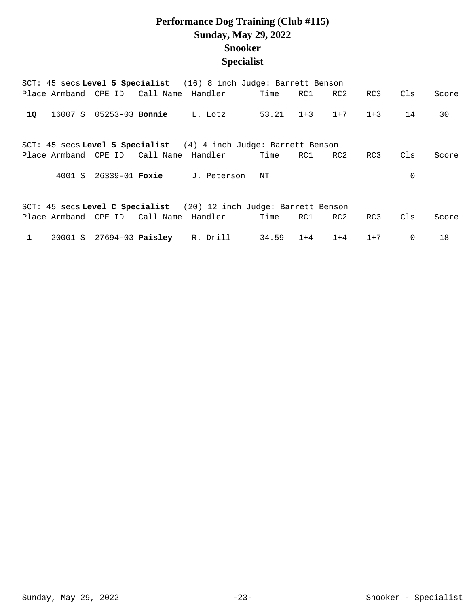## **Performance Dog Training (Club #115) Sunday, May 29, 2022 Snooker Specialist**

|              |        |                                |                                        | SCT: 45 secs Level 5 Specialist (16) 8 inch Judge: Barrett Benson  |           |         |         |       |             |       |
|--------------|--------|--------------------------------|----------------------------------------|--------------------------------------------------------------------|-----------|---------|---------|-------|-------------|-------|
|              |        |                                | Place Armband CPE ID Call Name Handler |                                                                    | Time      | RC1     | RC2     | RC3   | Cls         | Score |
| 10           |        | 16007 S 05253-03 <b>Bonnie</b> |                                        | L. Lotz                                                            | 53.21 1+3 |         | $1+7$   | $1+3$ | 14          | 30    |
|              |        |                                |                                        | SCT: 45 secs Level 5 Specialist $(4)$ 4 inch Judge: Barrett Benson |           |         |         |       |             |       |
|              |        |                                | Place Armband CPE ID Call Name Handler |                                                                    | Time      | RC1     | RC2     | RC3   | Cls         | Score |
|              | 4001 S | 26339-01 <b>Foxie</b>          |                                        | J. Peterson                                                        | ΝT        |         |         |       | 0           |       |
|              |        |                                |                                        | SCT: 45 secs Level C Specialist (20) 12 inch Judge: Barrett Benson |           |         |         |       |             |       |
|              |        |                                | Place Armband CPE ID Call Name Handler |                                                                    | Time      | RC1     | RC2     | RC3   | Cls         | Score |
| $\mathbf{1}$ |        |                                | 20001 S 27694-03 Paisley R. Drill      |                                                                    | 34.59     | $1 + 4$ | $1 + 4$ | $1+7$ | $\mathbf 0$ | 18    |